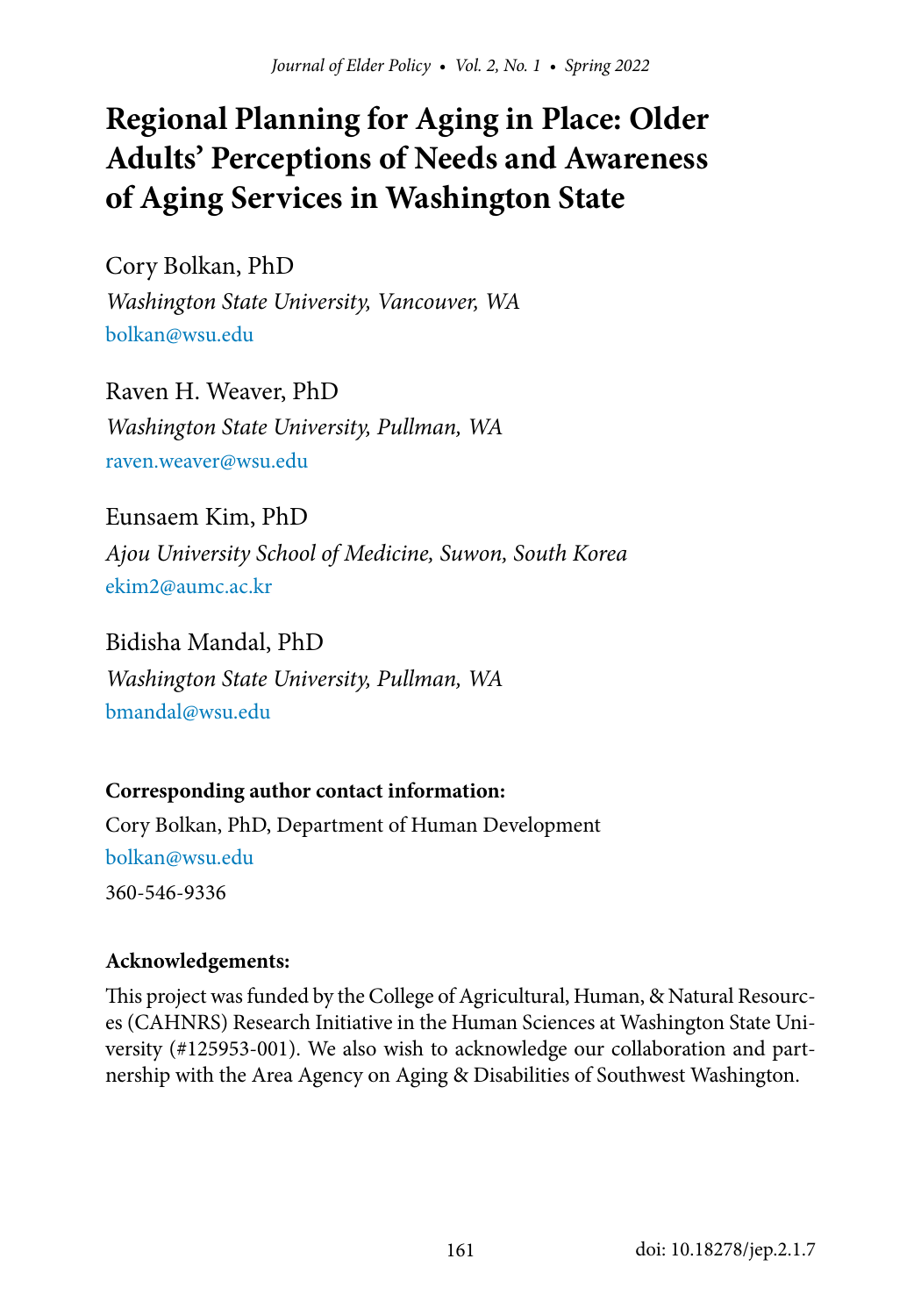# **Regional Planning for Aging in Place: Older Adults' Perceptions of Needs and Awareness of Aging Services in Washington State**

Cory Bolkan, PhD *Washington State University, Vancouver, WA* bolkan@wsu.edu

Raven H. Weaver, PhD *Washington State University, Pullman, WA* raven.weaver@wsu.edu

Eunsaem Kim, PhD *Ajou University School of Medicine, Suwon, South Korea* [ekim2@](mailto:ekim2%40aumc.ac.kr?subject=)aumc.ac.kr

Bidisha Mandal, PhD *Washington State University, Pullman, WA* bmandal@wsu.edu

#### **Corresponding author contact information:**

Cory Bolkan, PhD, Department of Human Development bolkan@wsu.edu 360-546-9336

#### **Acknowledgements:**

This project was funded by the College of Agricultural, Human, & Natural Resources (CAHNRS) Research Initiative in the Human Sciences at Washington State University (#125953-001). We also wish to acknowledge our collaboration and partnership with the Area Agency on Aging & Disabilities of Southwest Washington.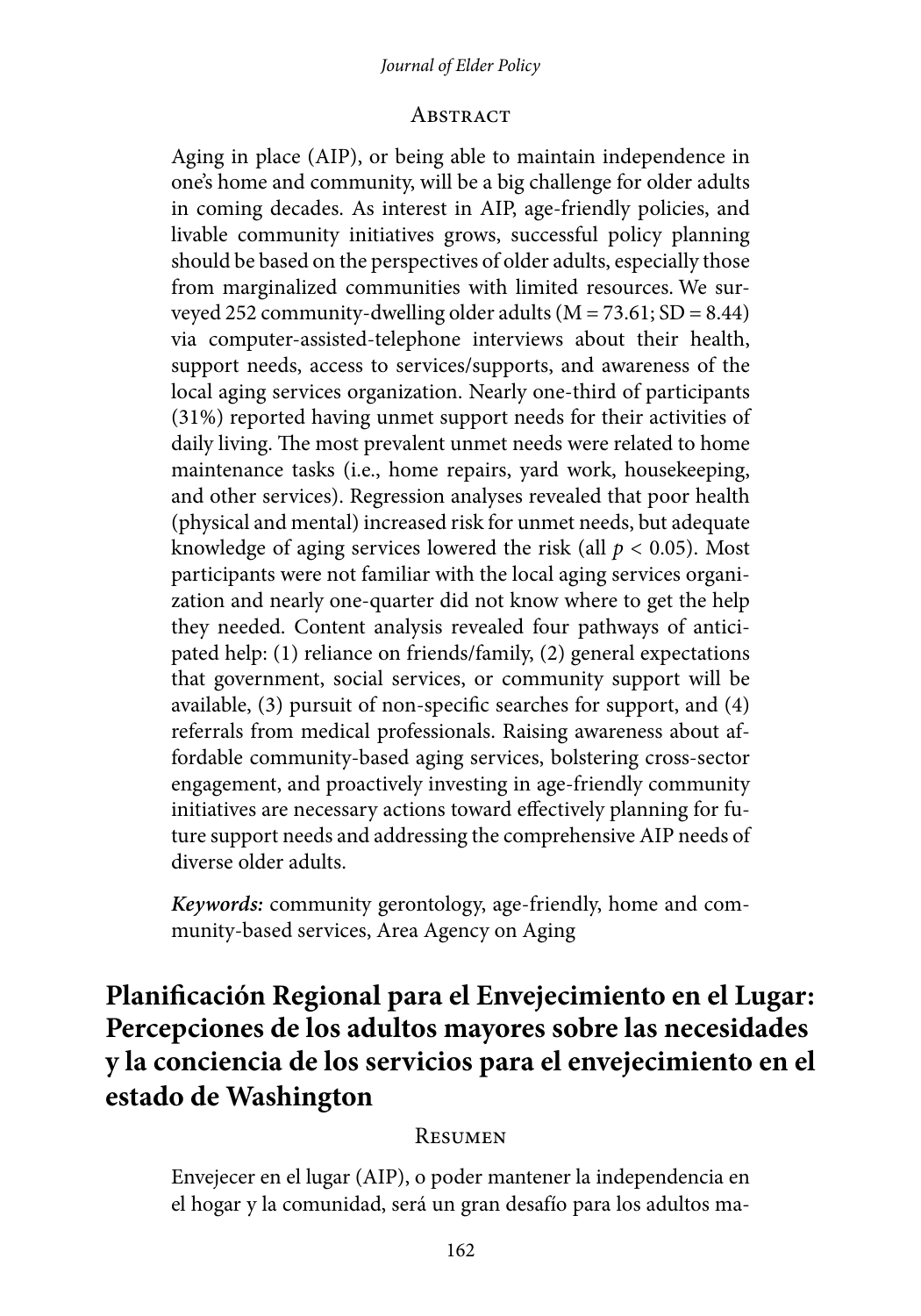#### *Journal of Elder Policy*

#### **ABSTRACT**

Aging in place (AIP), or being able to maintain independence in one's home and community, will be a big challenge for older adults in coming decades. As interest in AIP, age-friendly policies, and livable community initiatives grows, successful policy planning should be based on the perspectives of older adults, especially those from marginalized communities with limited resources. We surveyed 252 community-dwelling older adults  $(M = 73.61; SD = 8.44)$ via computer-assisted-telephone interviews about their health, support needs, access to services/supports, and awareness of the local aging services organization. Nearly one-third of participants (31%) reported having unmet support needs for their activities of daily living. The most prevalent unmet needs were related to home maintenance tasks (i.e., home repairs, yard work, housekeeping, and other services). Regression analyses revealed that poor health (physical and mental) increased risk for unmet needs, but adequate knowledge of aging services lowered the risk (all *p* < 0.05). Most participants were not familiar with the local aging services organization and nearly one-quarter did not know where to get the help they needed. Content analysis revealed four pathways of anticipated help: (1) reliance on friends/family, (2) general expectations that government, social services, or community support will be available, (3) pursuit of non-specific searches for support, and (4) referrals from medical professionals. Raising awareness about affordable community-based aging services, bolstering cross-sector engagement, and proactively investing in age-friendly community initiatives are necessary actions toward effectively planning for future support needs and addressing the comprehensive AIP needs of diverse older adults.

*Keywords:* community gerontology, age-friendly, home and community-based services, Area Agency on Aging

## **Planificación Regional para el Envejecimiento en el Lugar: Percepciones de los adultos mayores sobre las necesidades y la conciencia de los servicios para el envejecimiento en el estado de Washington**

#### Resumen

Envejecer en el lugar (AIP), o poder mantener la independencia en el hogar y la comunidad, será un gran desafío para los adultos ma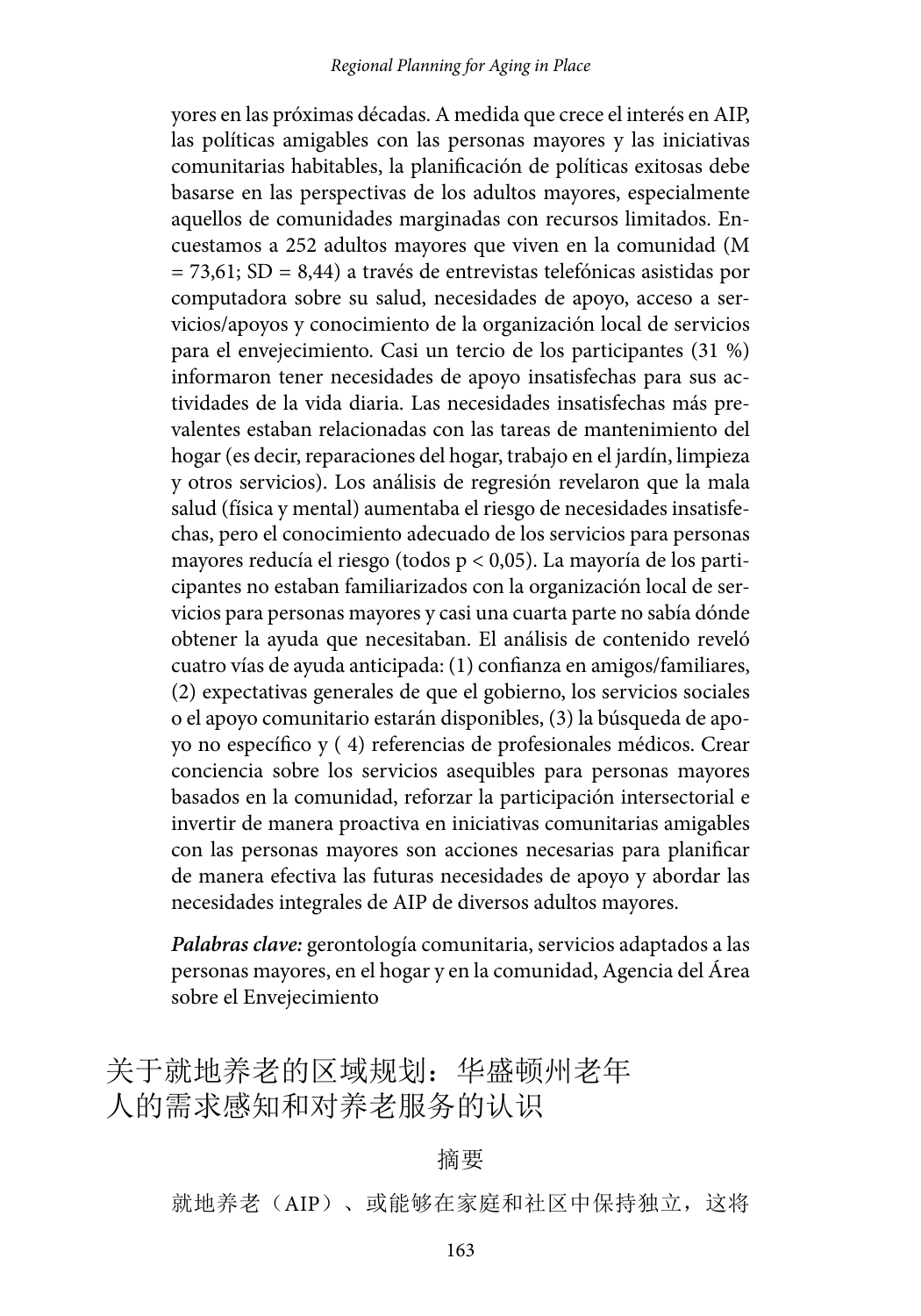yores en las próximas décadas. A medida que crece el interés en AIP, las políticas amigables con las personas mayores y las iniciativas comunitarias habitables, la planificación de políticas exitosas debe basarse en las perspectivas de los adultos mayores, especialmente aquellos de comunidades marginadas con recursos limitados. Encuestamos a 252 adultos mayores que viven en la comunidad (M = 73,61; SD = 8,44) a través de entrevistas telefónicas asistidas por computadora sobre su salud, necesidades de apoyo, acceso a servicios/apoyos y conocimiento de la organización local de servicios para el envejecimiento. Casi un tercio de los participantes (31 %) informaron tener necesidades de apoyo insatisfechas para sus actividades de la vida diaria. Las necesidades insatisfechas más prevalentes estaban relacionadas con las tareas de mantenimiento del hogar (es decir, reparaciones del hogar, trabajo en el jardín, limpieza y otros servicios). Los análisis de regresión revelaron que la mala salud (física y mental) aumentaba el riesgo de necesidades insatisfechas, pero el conocimiento adecuado de los servicios para personas mayores reducía el riesgo (todos p < 0,05). La mayoría de los participantes no estaban familiarizados con la organización local de servicios para personas mayores y casi una cuarta parte no sabía dónde obtener la ayuda que necesitaban. El análisis de contenido reveló cuatro vías de ayuda anticipada: (1) confianza en amigos/familiares, (2) expectativas generales de que el gobierno, los servicios sociales o el apoyo comunitario estarán disponibles, (3) la búsqueda de apoyo no específico y ( 4) referencias de profesionales médicos. Crear conciencia sobre los servicios asequibles para personas mayores basados en la comunidad, reforzar la participación intersectorial e invertir de manera proactiva en iniciativas comunitarias amigables con las personas mayores son acciones necesarias para planificar de manera efectiva las futuras necesidades de apoyo y abordar las necesidades integrales de AIP de diversos adultos mayores.

*Palabras clave:* gerontología comunitaria, servicios adaptados a las personas mayores, en el hogar y en la comunidad, Agencia del Área sobre el Envejecimiento

关于就地养老的区域规划: 华盛顿州老年 人的需求感知和对养老服务的认识

#### 摘要

就地养老(AIP)、或能够在家庭和社区中保持独立,这将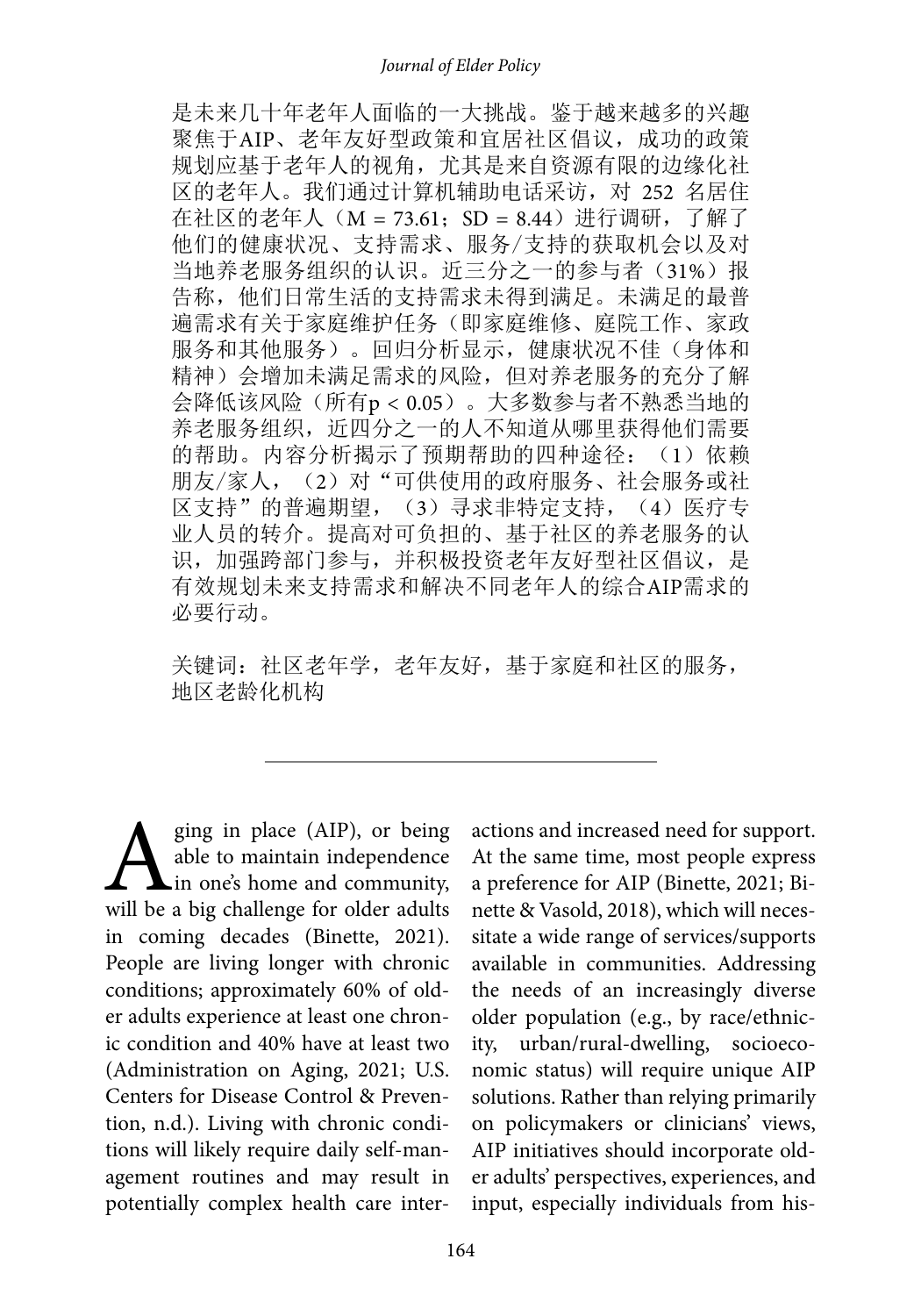是未来几十年老年人面临的一大挑战。鉴于越来越多的兴趣 聚焦于AIP、老年友好型政策和宜居社区倡议,成功的政策 规划应基于老年人的视角,尤其是来自资源有限的边缘化社 区的老年人。我们通过计算机辅助电话采访,对 252 名居住 在社区的老年人 (M = 73.61; SD = 8.44) 进行调研, 了解了 他们的健康状况、支持需求、服务/支持的获取机会以及对 当地养老服务组织的认识。近三分之一的参与者 (31%)报 告称,他们日常生活的支持需求未得到满足。未满足的最普 遍需求有关于家庭维护任务(即家庭维修、庭院工作、家政 服务和其他服务)。回归分析显示,健康状况不佳(身体和 精神)会增加未满足需求的风险,但对养老服务的充分了解 会降低该风险(所有p < 0.05)。大多数参与者不熟悉当地的 养老服务组织,近四分之一的人不知道从哪里获得他们需要 的帮助。内容分析揭示了预期帮助的四种途径: (1)依赖 朋友/家人, (2) 对"可供使用的政府服务、社会服务或社 区支持"的普遍期望, (3)寻求非特定支持, (4) 医疗专 业人员的转介。提高对可负担的、基于社区的养老服务的认 识,加强跨部门参与,并积极投资老年友好型社区倡议,是 有效规划未来支持需求和解决不同老年人的综合AIP需求的 必要行动。

关键词: 社区老年学, 老年友好, 基于家庭和社区的服务, 地区老龄化机构

**A** ging in place (AIP), or being<br>able to maintain independence<br>will be a big challenge for older adults able to maintain independence **L**in one's home and community, will be a big challenge for older adults in coming decades (Binette, 2021). People are living longer with chronic conditions; approximately 60% of older adults experience at least one chronic condition and 40% have at least two (Administration on Aging, 2021; U.S. Centers for Disease Control & Prevention, n.d.). Living with chronic conditions will likely require daily self-management routines and may result in potentially complex health care inter-

actions and increased need for support. At the same time, most people express a preference for AIP (Binette, 2021; Binette & Vasold, 2018), which will necessitate a wide range of services/supports available in communities. Addressing the needs of an increasingly diverse older population (e.g., by race/ethnicity, urban/rural-dwelling, socioeconomic status) will require unique AIP solutions. Rather than relying primarily on policymakers or clinicians' views, AIP initiatives should incorporate older adults' perspectives, experiences, and input, especially individuals from his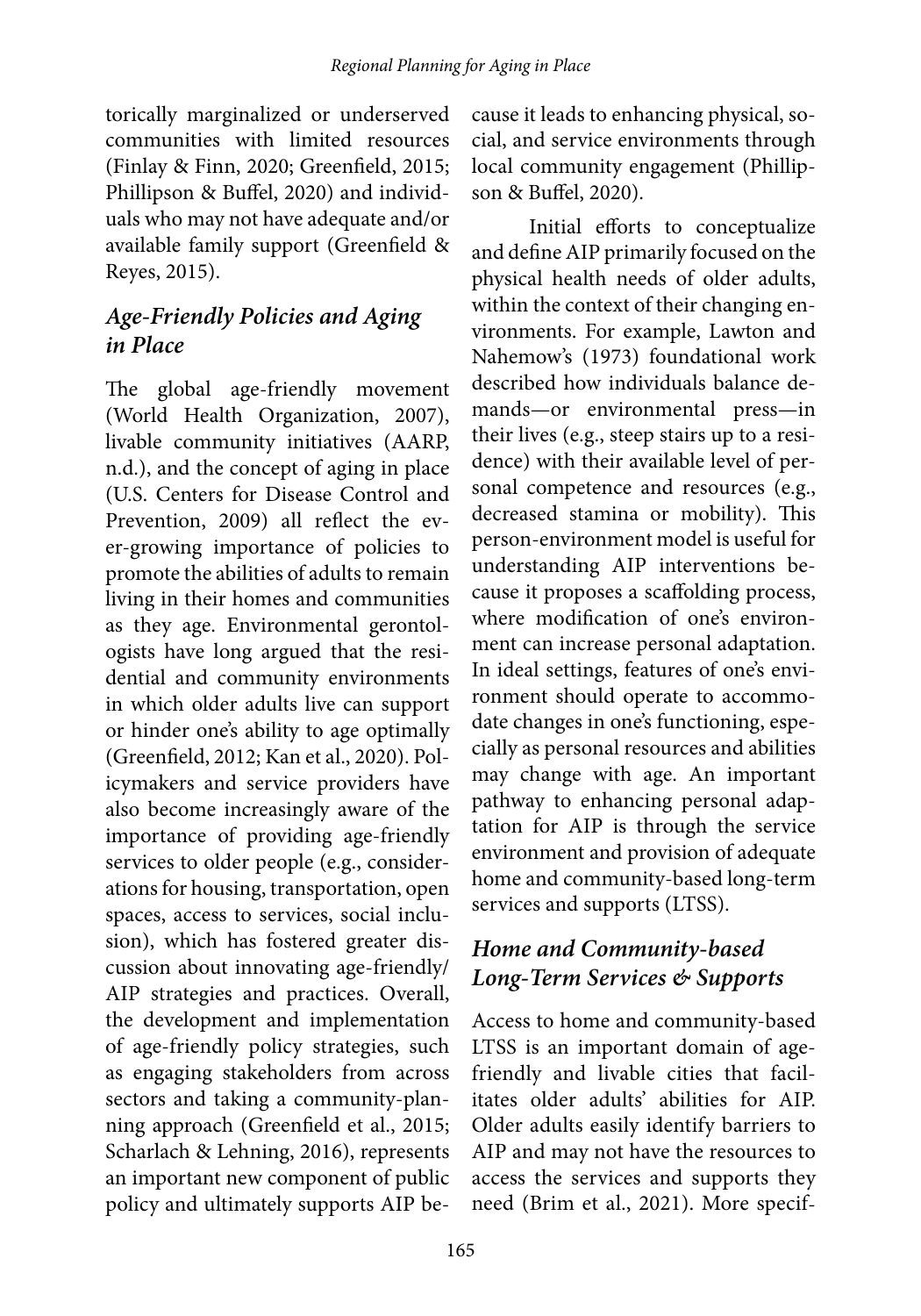torically marginalized or underserved communities with limited resources (Finlay & Finn, 2020; Greenfield, 2015; Phillipson & Buffel, 2020) and individuals who may not have adequate and/or available family support (Greenfield & Reyes, 2015).

#### *Age-Friendly Policies and Aging in Place*

The global age-friendly movement (World Health Organization, 2007), livable community initiatives (AARP, n.d.), and the concept of aging in place (U.S. Centers for Disease Control and Prevention, 2009) all reflect the ever-growing importance of policies to promote the abilities of adults to remain living in their homes and communities as they age. Environmental gerontologists have long argued that the residential and community environments in which older adults live can support or hinder one's ability to age optimally (Greenfield, 2012; Kan et al., 2020). Policymakers and service providers have also become increasingly aware of the importance of providing age-friendly services to older people (e.g., considerations for housing, transportation, open spaces, access to services, social inclusion), which has fostered greater discussion about innovating age-friendly/ AIP strategies and practices. Overall, the development and implementation of age-friendly policy strategies, such as engaging stakeholders from across sectors and taking a community-planning approach (Greenfield et al., 2015; Scharlach & Lehning, 2016), represents an important new component of public policy and ultimately supports AIP because it leads to enhancing physical, social, and service environments through local community engagement (Phillipson & Buffel, 2020).

Initial efforts to conceptualize and define AIP primarily focused on the physical health needs of older adults, within the context of their changing environments. For example, Lawton and Nahemow's (1973) foundational work described how individuals balance demands—or environmental press—in their lives (e.g., steep stairs up to a residence) with their available level of personal competence and resources (e.g., decreased stamina or mobility). This person-environment model is useful for understanding AIP interventions because it proposes a scaffolding process, where modification of one's environment can increase personal adaptation. In ideal settings, features of one's environment should operate to accommodate changes in one's functioning, especially as personal resources and abilities may change with age. An important pathway to enhancing personal adaptation for AIP is through the service environment and provision of adequate home and community-based long-term services and supports (LTSS).

#### *Home and Community-based Long-Term Services & Supports*

Access to home and community-based LTSS is an important domain of agefriendly and livable cities that facilitates older adults' abilities for AIP. Older adults easily identify barriers to AIP and may not have the resources to access the services and supports they need (Brim et al., 2021). More specif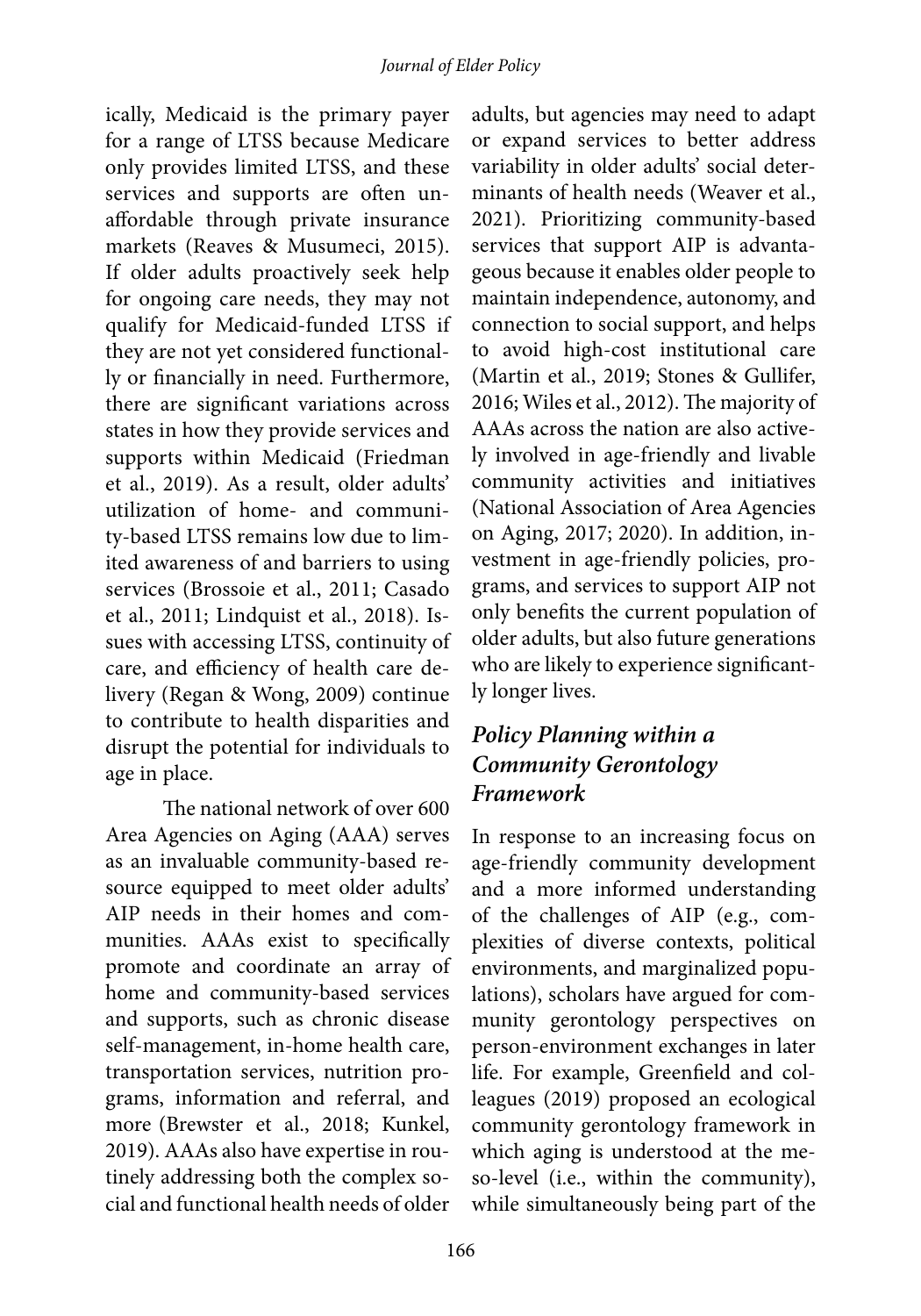ically, Medicaid is the primary payer for a range of LTSS because Medicare only provides limited LTSS, and these services and supports are often unaffordable through private insurance markets (Reaves & Musumeci, 2015). If older adults proactively seek help for ongoing care needs, they may not qualify for Medicaid-funded LTSS if they are not yet considered functionally or financially in need. Furthermore, there are significant variations across states in how they provide services and supports within Medicaid (Friedman et al., 2019). As a result, older adults' utilization of home- and community-based LTSS remains low due to limited awareness of and barriers to using services (Brossoie et al., 2011; Casado et al., 2011; Lindquist et al., 2018). Issues with accessing LTSS, continuity of care, and efficiency of health care delivery (Regan & Wong, 2009) continue to contribute to health disparities and disrupt the potential for individuals to age in place.

The national network of over 600 Area Agencies on Aging (AAA) serves as an invaluable community-based resource equipped to meet older adults' AIP needs in their homes and communities. AAAs exist to specifically promote and coordinate an array of home and community-based services and supports, such as chronic disease self-management, in-home health care, transportation services, nutrition programs, information and referral, and more (Brewster et al., 2018; Kunkel, 2019). AAAs also have expertise in routinely addressing both the complex social and functional health needs of older

adults, but agencies may need to adapt or expand services to better address variability in older adults' social determinants of health needs (Weaver et al., 2021). Prioritizing community-based services that support AIP is advantageous because it enables older people to maintain independence, autonomy, and connection to social support, and helps to avoid high-cost institutional care (Martin et al., 2019; Stones & Gullifer, 2016; Wiles et al., 2012). The majority of AAAs across the nation are also actively involved in age-friendly and livable community activities and initiatives (National Association of Area Agencies on Aging, 2017; 2020). In addition, investment in age-friendly policies, programs, and services to support AIP not only benefits the current population of older adults, but also future generations who are likely to experience significantly longer lives.

### *Policy Planning within a Community Gerontology Framework*

In response to an increasing focus on age-friendly community development and a more informed understanding of the challenges of AIP (e.g., complexities of diverse contexts, political environments, and marginalized populations), scholars have argued for community gerontology perspectives on person-environment exchanges in later life. For example, Greenfield and colleagues (2019) proposed an ecological community gerontology framework in which aging is understood at the meso-level (i.e., within the community), while simultaneously being part of the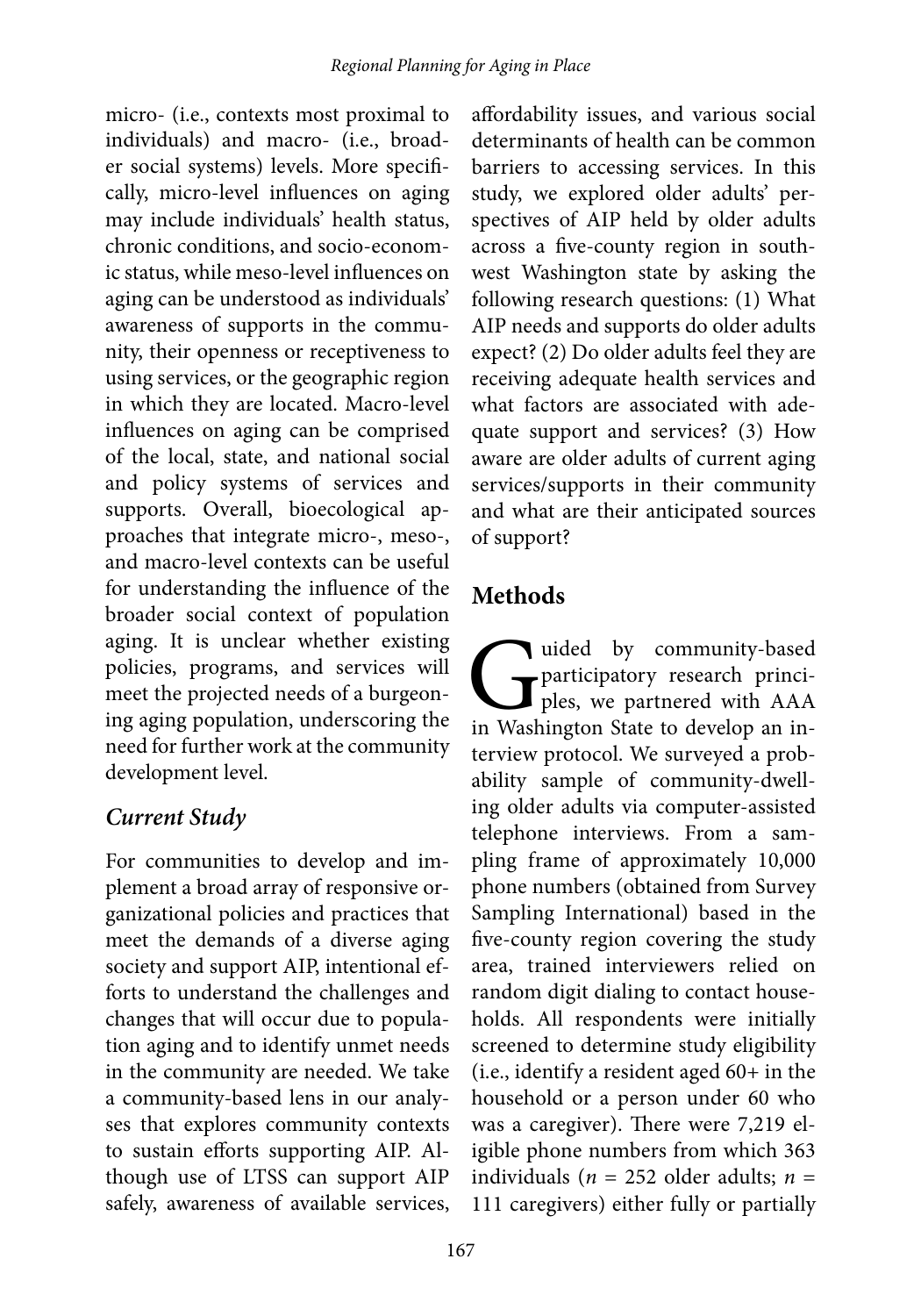micro- (i.e., contexts most proximal to individuals) and macro- (i.e., broader social systems) levels. More specifically, micro-level influences on aging may include individuals' health status, chronic conditions, and socio-economic status, while meso-level influences on aging can be understood as individuals' awareness of supports in the community, their openness or receptiveness to using services, or the geographic region in which they are located. Macro-level influences on aging can be comprised of the local, state, and national social and policy systems of services and supports. Overall, bioecological approaches that integrate micro-, meso-, and macro-level contexts can be useful for understanding the influence of the broader social context of population aging. It is unclear whether existing policies, programs, and services will meet the projected needs of a burgeoning aging population, underscoring the need for further work at the community development level.

## *Current Study*

For communities to develop and implement a broad array of responsive organizational policies and practices that meet the demands of a diverse aging society and support AIP, intentional efforts to understand the challenges and changes that will occur due to population aging and to identify unmet needs in the community are needed. We take a community-based lens in our analyses that explores community contexts to sustain efforts supporting AIP. Although use of LTSS can support AIP safely, awareness of available services,

affordability issues, and various social determinants of health can be common barriers to accessing services. In this study, we explored older adults' perspectives of AIP held by older adults across a five-county region in southwest Washington state by asking the following research questions: (1) What AIP needs and supports do older adults expect? (2) Do older adults feel they are receiving adequate health services and what factors are associated with adequate support and services? (3) How aware are older adults of current aging services/supports in their community and what are their anticipated sources of support?

## **Methods**

uided by community-based<br>participatory research princi-<br>ples, we partnered with AAA<br>in Washington State to develop an inparticipatory research principles, we partnered with AAA in Washington State to develop an interview protocol. We surveyed a probability sample of community-dwelling older adults via computer-assisted telephone interviews. From a sampling frame of approximately 10,000 phone numbers (obtained from Survey Sampling International) based in the five-county region covering the study area, trained interviewers relied on random digit dialing to contact households. All respondents were initially screened to determine study eligibility (i.e., identify a resident aged 60+ in the household or a person under 60 who was a caregiver). There were 7,219 eligible phone numbers from which 363 individuals (*n* = 252 older adults; *n* = 111 caregivers) either fully or partially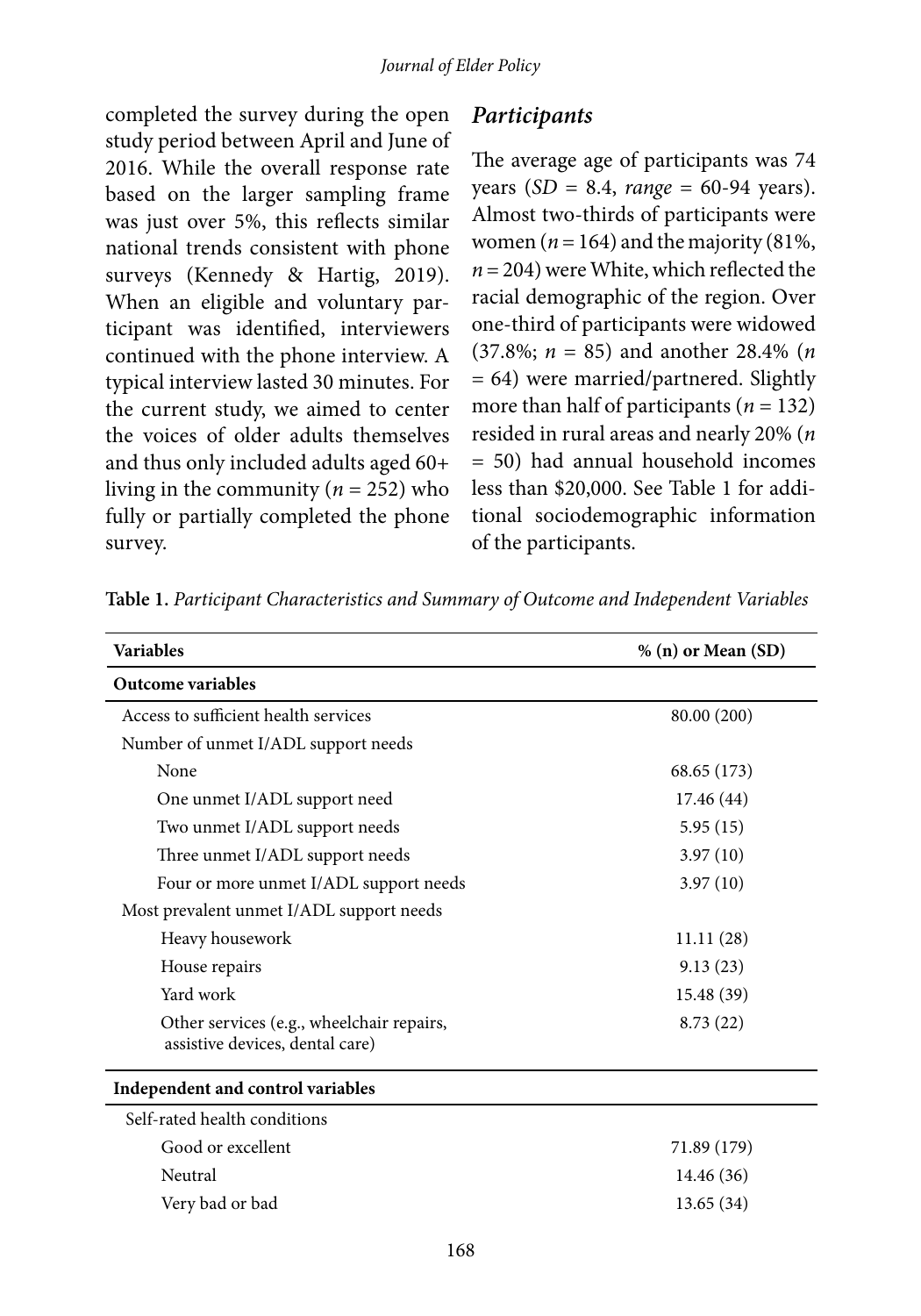completed the survey during the open study period between April and June of 2016. While the overall response rate based on the larger sampling frame was just over 5%, this reflects similar national trends consistent with phone surveys (Kennedy & Hartig, 2019). When an eligible and voluntary participant was identified, interviewers continued with the phone interview. A typical interview lasted 30 minutes. For the current study, we aimed to center the voices of older adults themselves and thus only included adults aged 60+ living in the community (*n* = 252) who fully or partially completed the phone survey.

#### *Participants*

The average age of participants was 74 years (*SD* = 8.4, *range* = 60-94 years). Almost two-thirds of participants were women ( $n = 164$ ) and the majority (81%, *n* = 204) were White, which reflected the racial demographic of the region. Over one-third of participants were widowed (37.8%; *n* = 85) and another 28.4% (*n* = 64) were married/partnered. Slightly more than half of participants (*n* = 132) resided in rural areas and nearly 20% (*n* = 50) had annual household incomes less than \$20,000. See Table 1 for additional sociodemographic information of the participants.

| <b>Variables</b>                                                             | % (n) or Mean (SD) |
|------------------------------------------------------------------------------|--------------------|
| <b>Outcome variables</b>                                                     |                    |
| Access to sufficient health services                                         | 80.00 (200)        |
| Number of unmet I/ADL support needs                                          |                    |
| None                                                                         | 68.65 (173)        |
| One unmet I/ADL support need                                                 | 17.46(44)          |
| Two unmet I/ADL support needs                                                | 5.95(15)           |
| Three unmet I/ADL support needs                                              | 3.97(10)           |
| Four or more unmet I/ADL support needs                                       | 3.97(10)           |
| Most prevalent unmet I/ADL support needs                                     |                    |
| Heavy housework                                                              | 11.11(28)          |
| House repairs                                                                | 9.13(23)           |
| Yard work                                                                    | 15.48 (39)         |
| Other services (e.g., wheelchair repairs,<br>assistive devices, dental care) | 8.73(22)           |
| Independent and control variables                                            |                    |
| Self-rated health conditions                                                 |                    |
| Good or excellent                                                            | 71.89 (179)        |
| Neutral                                                                      | 14.46 (36)         |
| Very bad or bad                                                              | 13.65(34)          |

**Table 1.** *Participant Characteristics and Summary of Outcome and Independent Variables*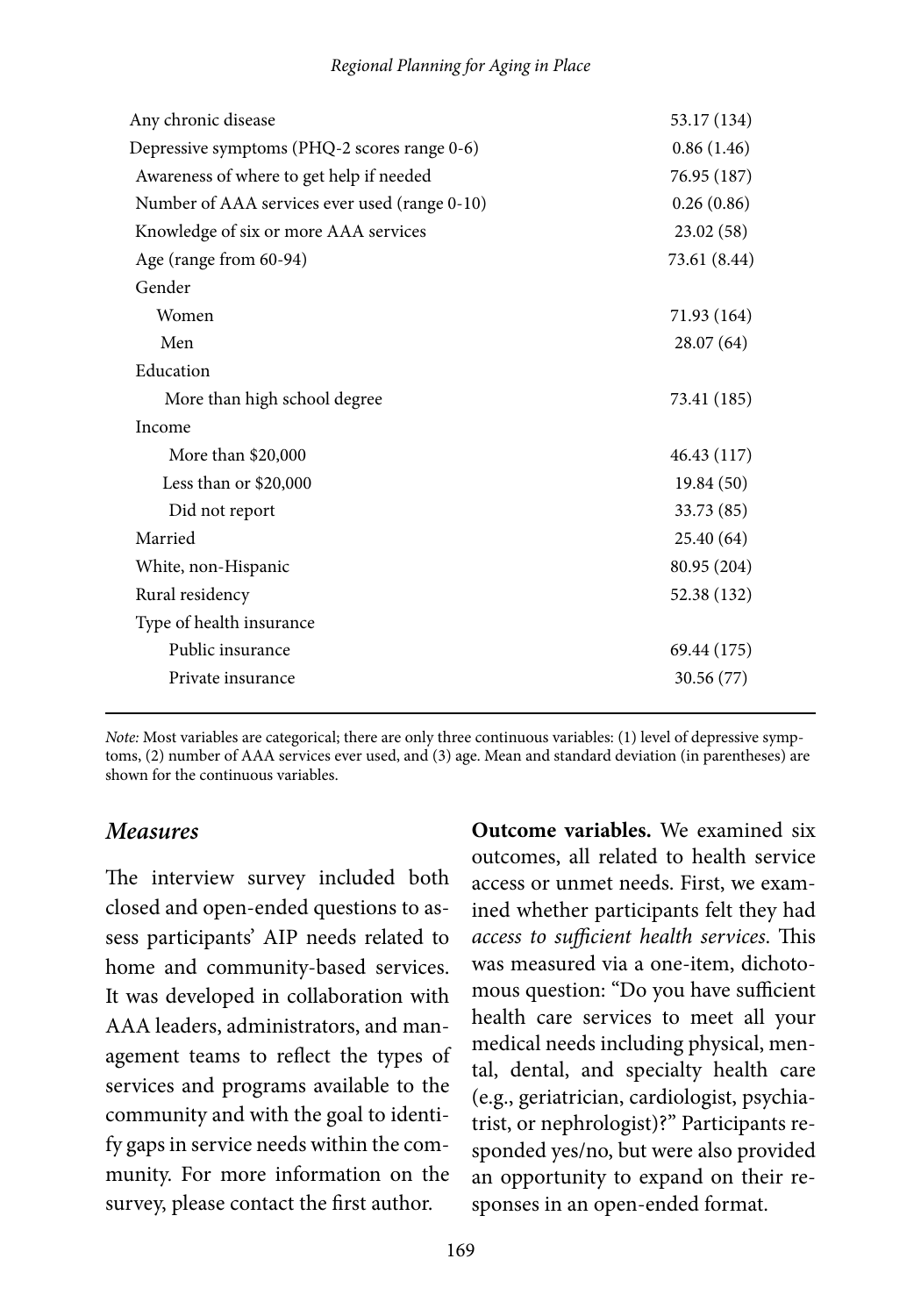| Any chronic disease                           | 53.17 (134)  |
|-----------------------------------------------|--------------|
| Depressive symptoms (PHQ-2 scores range 0-6)  | 0.86(1.46)   |
| Awareness of where to get help if needed      | 76.95 (187)  |
| Number of AAA services ever used (range 0-10) | 0.26(0.86)   |
| Knowledge of six or more AAA services         | 23.02(58)    |
| Age (range from 60-94)                        | 73.61 (8.44) |
| Gender                                        |              |
| Women                                         | 71.93 (164)  |
| Men                                           | 28.07(64)    |
| Education                                     |              |
| More than high school degree                  | 73.41 (185)  |
| Income                                        |              |
| More than \$20,000                            | 46.43 (117)  |
| Less than or $$20,000$                        | 19.84(50)    |
| Did not report                                | 33.73 (85)   |
| Married                                       | 25.40 (64)   |
| White, non-Hispanic                           | 80.95 (204)  |
| Rural residency                               | 52.38 (132)  |
| Type of health insurance                      |              |
| Public insurance                              | 69.44 (175)  |
| Private insurance                             | 30.56 (77)   |
|                                               |              |

*Note:* Most variables are categorical; there are only three continuous variables: (1) level of depressive symptoms, (2) number of AAA services ever used, and (3) age. Mean and standard deviation (in parentheses) are shown for the continuous variables.

#### *Measures*

The interview survey included both closed and open-ended questions to assess participants' AIP needs related to home and community-based services. It was developed in collaboration with AAA leaders, administrators, and management teams to reflect the types of services and programs available to the community and with the goal to identify gaps in service needs within the community. For more information on the survey, please contact the first author.

**Outcome variables.** We examined six outcomes, all related to health service access or unmet needs. First, we examined whether participants felt they had *access to sufficient health services*. This was measured via a one-item, dichotomous question: "Do you have sufficient health care services to meet all your medical needs including physical, mental, dental, and specialty health care (e.g., geriatrician, cardiologist, psychiatrist, or nephrologist)?" Participants responded yes/no, but were also provided an opportunity to expand on their responses in an open-ended format.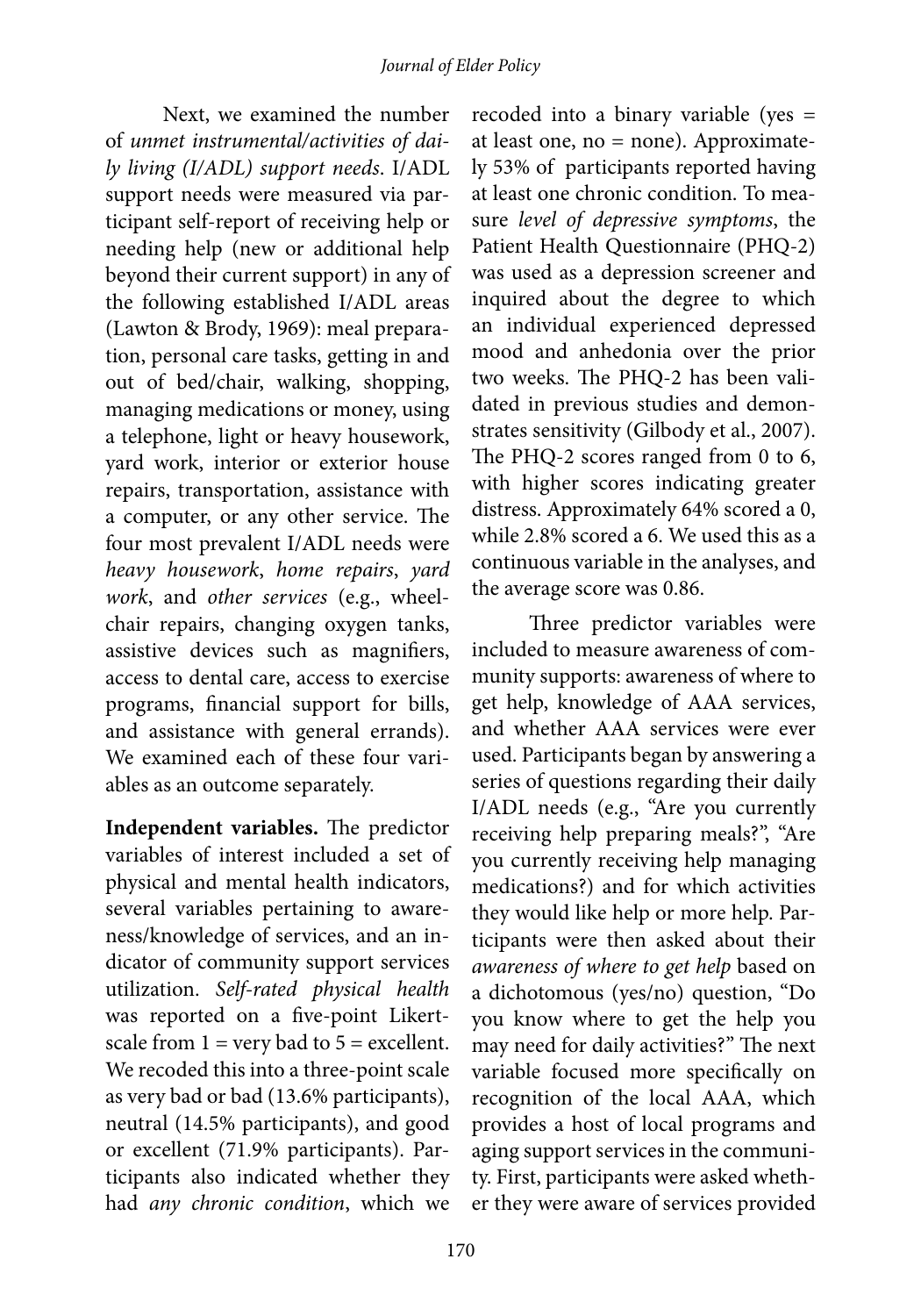Next, we examined the number of *unmet instrumental/activities of daily living (I/ADL) support needs*. I/ADL support needs were measured via participant self-report of receiving help or needing help (new or additional help beyond their current support) in any of the following established I/ADL areas (Lawton & Brody, 1969): meal preparation, personal care tasks, getting in and out of bed/chair, walking, shopping, managing medications or money, using a telephone, light or heavy housework, yard work, interior or exterior house repairs, transportation, assistance with a computer, or any other service. The four most prevalent I/ADL needs were *heavy housework*, *home repairs*, *yard work*, and *other services* (e.g., wheelchair repairs, changing oxygen tanks, assistive devices such as magnifiers, access to dental care, access to exercise programs, financial support for bills, and assistance with general errands). We examined each of these four variables as an outcome separately.

**Independent variables.** The predictor variables of interest included a set of physical and mental health indicators, several variables pertaining to awareness/knowledge of services, and an indicator of community support services utilization. *Self-rated physical health* was reported on a five-point Likertscale from  $1 = \text{very bad to } 5 = \text{excellent.}$ We recoded this into a three-point scale as very bad or bad (13.6% participants), neutral (14.5% participants), and good or excellent (71.9% participants). Participants also indicated whether they had *any chronic condition*, which we

recoded into a binary variable (yes = at least one, no = none). Approximately 53% of participants reported having at least one chronic condition. To measure *level of depressive symptoms*, the Patient Health Questionnaire (PHQ-2) was used as a depression screener and inquired about the degree to which an individual experienced depressed mood and anhedonia over the prior two weeks. The PHQ-2 has been validated in previous studies and demonstrates sensitivity (Gilbody et al., 2007). The PHQ-2 scores ranged from 0 to 6, with higher scores indicating greater distress. Approximately 64% scored a 0, while 2.8% scored a 6. We used this as a continuous variable in the analyses, and the average score was 0.86.

Three predictor variables were included to measure awareness of community supports: awareness of where to get help, knowledge of AAA services, and whether AAA services were ever used. Participants began by answering a series of questions regarding their daily I/ADL needs (e.g., "Are you currently receiving help preparing meals?", "Are you currently receiving help managing medications?) and for which activities they would like help or more help. Participants were then asked about their *awareness of where to get help* based on a dichotomous (yes/no) question, "Do you know where to get the help you may need for daily activities?" The next variable focused more specifically on recognition of the local AAA, which provides a host of local programs and aging support services in the community. First, participants were asked whether they were aware of services provided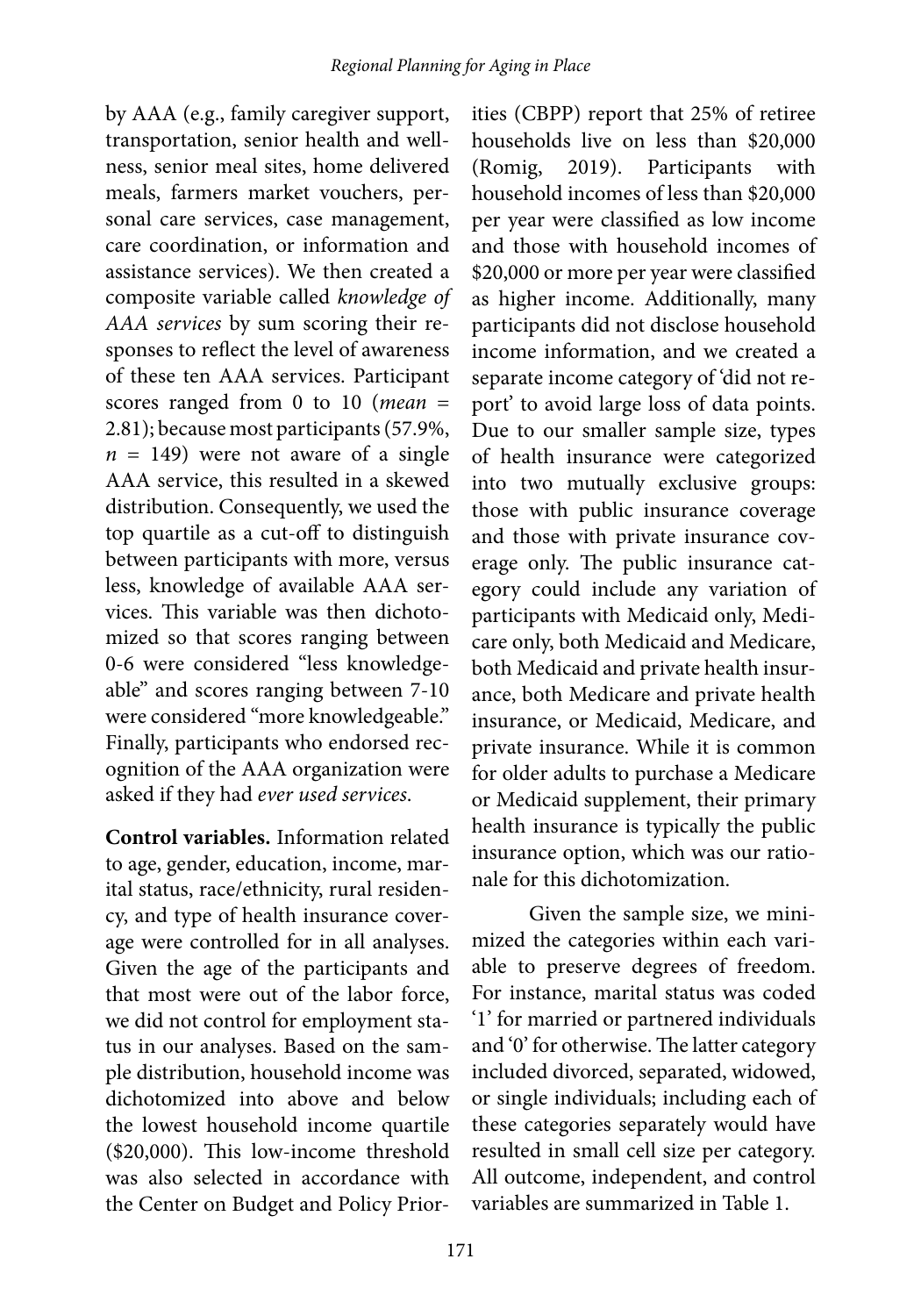by AAA (e.g., family caregiver support, transportation, senior health and wellness, senior meal sites, home delivered meals, farmers market vouchers, personal care services, case management, care coordination, or information and assistance services). We then created a composite variable called *knowledge of AAA services* by sum scoring their responses to reflect the level of awareness of these ten AAA services. Participant scores ranged from 0 to 10 (*mean* = 2.81); because most participants (57.9%,  $n = 149$ ) were not aware of a single AAA service, this resulted in a skewed distribution. Consequently, we used the top quartile as a cut-off to distinguish between participants with more, versus less, knowledge of available AAA services. This variable was then dichotomized so that scores ranging between 0-6 were considered "less knowledgeable" and scores ranging between 7-10 were considered "more knowledgeable." Finally, participants who endorsed recognition of the AAA organization were asked if they had *ever used services*.

**Control variables.** Information related to age, gender, education, income, marital status, race/ethnicity, rural residency, and type of health insurance coverage were controlled for in all analyses. Given the age of the participants and that most were out of the labor force, we did not control for employment status in our analyses. Based on the sample distribution, household income was dichotomized into above and below the lowest household income quartile (\$20,000). This low-income threshold was also selected in accordance with the Center on Budget and Policy Prior-

ities (CBPP) report that 25% of retiree households live on less than \$20,000 (Romig, 2019). Participants with household incomes of less than \$20,000 per year were classified as low income and those with household incomes of \$20,000 or more per year were classified as higher income. Additionally, many participants did not disclose household income information, and we created a separate income category of 'did not report' to avoid large loss of data points. Due to our smaller sample size, types of health insurance were categorized into two mutually exclusive groups: those with public insurance coverage and those with private insurance coverage only. The public insurance category could include any variation of participants with Medicaid only, Medicare only, both Medicaid and Medicare, both Medicaid and private health insurance, both Medicare and private health insurance, or Medicaid, Medicare, and private insurance. While it is common for older adults to purchase a Medicare or Medicaid supplement, their primary health insurance is typically the public insurance option, which was our rationale for this dichotomization.

Given the sample size, we minimized the categories within each variable to preserve degrees of freedom. For instance, marital status was coded '1' for married or partnered individuals and '0' for otherwise. The latter category included divorced, separated, widowed, or single individuals; including each of these categories separately would have resulted in small cell size per category. All outcome, independent, and control variables are summarized in Table 1.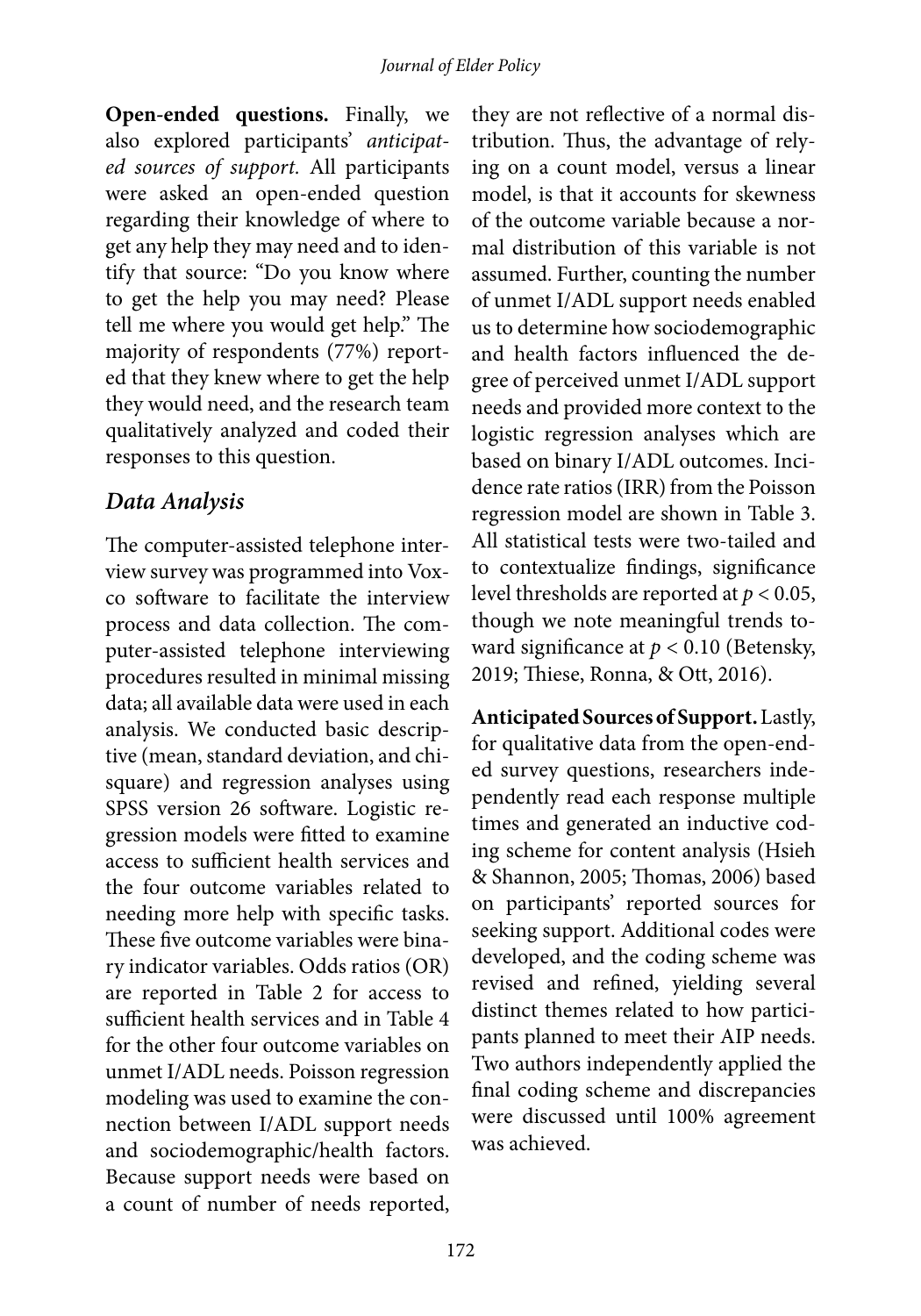**Open-ended questions.** Finally, we also explored participants' *anticipated sources of support.* All participants were asked an open-ended question regarding their knowledge of where to get any help they may need and to identify that source: "Do you know where to get the help you may need? Please tell me where you would get help." The majority of respondents (77%) reported that they knew where to get the help they would need, and the research team qualitatively analyzed and coded their responses to this question.

#### *Data Analysis*

The computer-assisted telephone interview survey was programmed into Voxco software to facilitate the interview process and data collection. The computer-assisted telephone interviewing procedures resulted in minimal missing data; all available data were used in each analysis. We conducted basic descriptive (mean, standard deviation, and chisquare) and regression analyses using SPSS version 26 software. Logistic regression models were fitted to examine access to sufficient health services and the four outcome variables related to needing more help with specific tasks. These five outcome variables were binary indicator variables. Odds ratios (OR) are reported in Table 2 for access to sufficient health services and in Table 4 for the other four outcome variables on unmet I/ADL needs. Poisson regression modeling was used to examine the connection between I/ADL support needs and sociodemographic/health factors. Because support needs were based on a count of number of needs reported,

they are not reflective of a normal distribution. Thus, the advantage of relying on a count model, versus a linear model, is that it accounts for skewness of the outcome variable because a normal distribution of this variable is not assumed. Further, counting the number of unmet I/ADL support needs enabled us to determine how sociodemographic and health factors influenced the degree of perceived unmet I/ADL support needs and provided more context to the logistic regression analyses which are based on binary I/ADL outcomes. Incidence rate ratios (IRR) from the Poisson regression model are shown in Table 3. All statistical tests were two-tailed and to contextualize findings, significance level thresholds are reported at *p* < 0.05, though we note meaningful trends toward significance at *p* < 0.10 (Betensky, 2019; Thiese, Ronna, & Ott, 2016).

**Anticipated Sources of Support.** Lastly, for qualitative data from the open-ended survey questions, researchers independently read each response multiple times and generated an inductive coding scheme for content analysis (Hsieh & Shannon, 2005; Thomas, 2006) based on participants' reported sources for seeking support. Additional codes were developed, and the coding scheme was revised and refined, yielding several distinct themes related to how participants planned to meet their AIP needs. Two authors independently applied the final coding scheme and discrepancies were discussed until 100% agreement was achieved.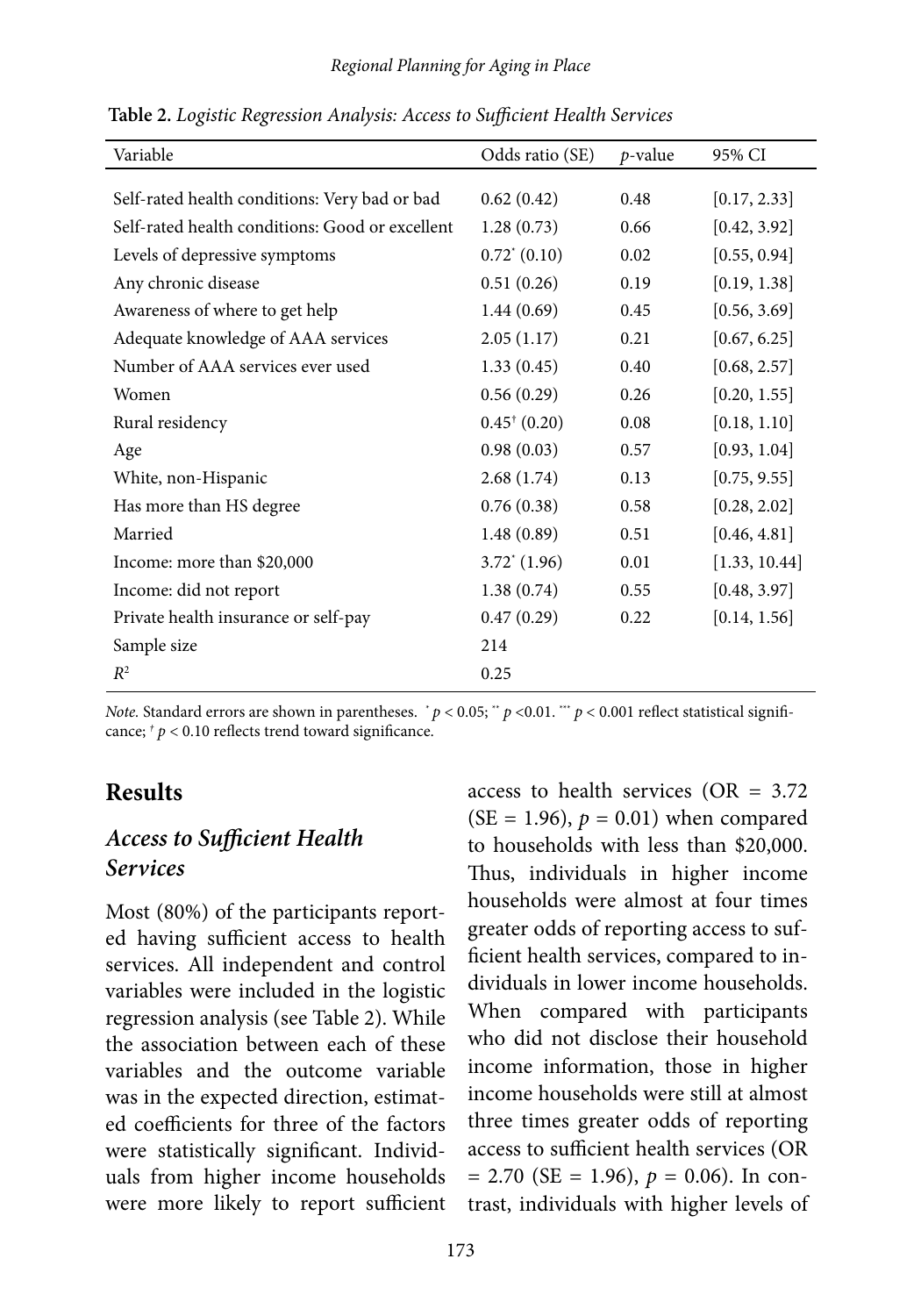| Variable                                        | Odds ratio (SE)         | $p$ -value | 95% CI        |
|-------------------------------------------------|-------------------------|------------|---------------|
|                                                 |                         |            |               |
| Self-rated health conditions: Very bad or bad   | 0.62(0.42)              | 0.48       | [0.17, 2.33]  |
| Self-rated health conditions: Good or excellent | 1.28(0.73)              | 0.66       | [0.42, 3.92]  |
| Levels of depressive symptoms                   | $0.72^*(0.10)$          | 0.02       | [0.55, 0.94]  |
| Any chronic disease                             | 0.51(0.26)              | 0.19       | [0.19, 1.38]  |
| Awareness of where to get help                  | 1.44(0.69)              | 0.45       | [0.56, 3.69]  |
| Adequate knowledge of AAA services              | 2.05(1.17)              | 0.21       | [0.67, 6.25]  |
| Number of AAA services ever used                | 1.33(0.45)              | 0.40       | [0.68, 2.57]  |
| Women                                           | 0.56(0.29)              | 0.26       | [0.20, 1.55]  |
| Rural residency                                 | $0.45^{\dagger}$ (0.20) | 0.08       | [0.18, 1.10]  |
| Age                                             | 0.98(0.03)              | 0.57       | [0.93, 1.04]  |
| White, non-Hispanic                             | 2.68(1.74)              | 0.13       | [0.75, 9.55]  |
| Has more than HS degree                         | 0.76(0.38)              | 0.58       | [0.28, 2.02]  |
| Married                                         | 1.48(0.89)              | 0.51       | [0.46, 4.81]  |
| Income: more than \$20,000                      | $3.72^{\ast}(1.96)$     | 0.01       | [1.33, 10.44] |
| Income: did not report                          | 1.38(0.74)              | 0.55       | [0.48, 3.97]  |
| Private health insurance or self-pay            | 0.47(0.29)              | 0.22       | [0.14, 1.56]  |
| Sample size                                     | 214                     |            |               |
| $R^2$                                           | 0.25                    |            |               |

**Table 2.** *Logistic Regression Analysis: Access to Sufficient Health Services*

*Note.* Standard errors are shown in parentheses.  $p < 0.05$ ;  $p < 0.01$ .  $m$   $p < 0.001$  reflect statistical significance;  $\frac{t}{p}$  < 0.10 reflects trend toward significance.

#### **Results**

#### *Access to Sufficient Health Services*

Most (80%) of the participants reported having sufficient access to health services. All independent and control variables were included in the logistic regression analysis (see Table 2). While the association between each of these variables and the outcome variable was in the expected direction, estimated coefficients for three of the factors were statistically significant. Individuals from higher income households were more likely to report sufficient

access to health services (OR =  $3.72$ )  $(SE = 1.96), p = 0.01$  when compared to households with less than \$20,000. Thus, individuals in higher income households were almost at four times greater odds of reporting access to sufficient health services, compared to individuals in lower income households. When compared with participants who did not disclose their household income information, those in higher income households were still at almost three times greater odds of reporting access to sufficient health services (OR  $= 2.70$  (SE  $= 1.96$ ),  $p = 0.06$ ). In contrast, individuals with higher levels of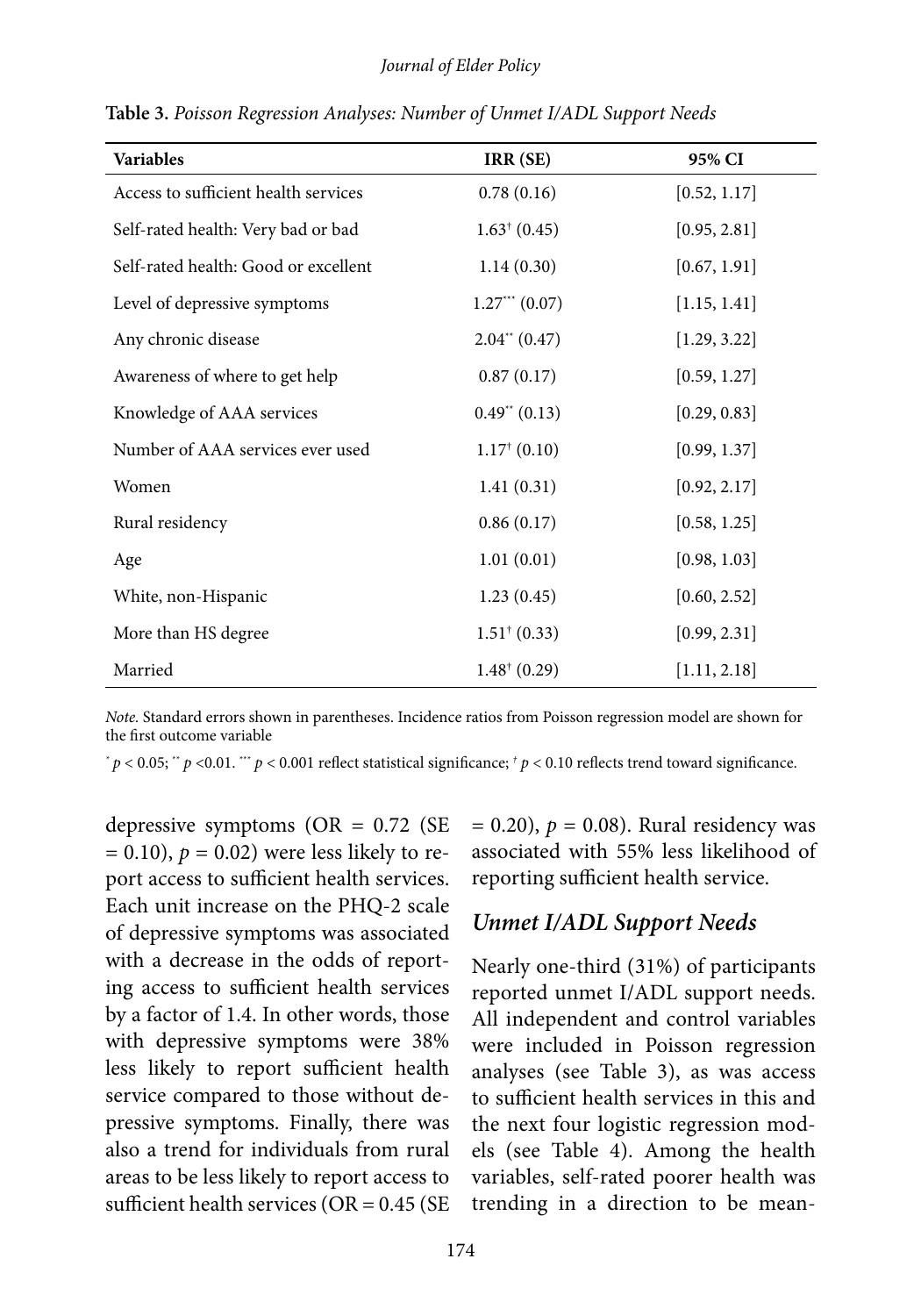| <b>Variables</b>                     | IRR (SE)                | 95% CI       |
|--------------------------------------|-------------------------|--------------|
| Access to sufficient health services | 0.78(0.16)              | [0.52, 1.17] |
| Self-rated health: Very bad or bad   | $1.63^{\dagger}$ (0.45) | [0.95, 2.81] |
| Self-rated health: Good or excellent | 1.14(0.30)              | [0.67, 1.91] |
| Level of depressive symptoms         | $1.27***(0.07)$         | [1.15, 1.41] |
| Any chronic disease                  | $2.04^{**}$ (0.47)      | [1.29, 3.22] |
| Awareness of where to get help       | 0.87(0.17)              | [0.59, 1.27] |
| Knowledge of AAA services            | $0.49^{**}$ (0.13)      | [0.29, 0.83] |
| Number of AAA services ever used     | $1.17^{\dagger}$ (0.10) | [0.99, 1.37] |
| Women                                | 1.41(0.31)              | [0.92, 2.17] |
| Rural residency                      | 0.86(0.17)              | [0.58, 1.25] |
| Age                                  | 1.01(0.01)              | [0.98, 1.03] |
| White, non-Hispanic                  | 1.23(0.45)              | [0.60, 2.52] |
| More than HS degree                  | $1.51^+(0.33)$          | [0.99, 2.31] |
| Married                              | $1.48^{\dagger}$ (0.29) | [1.11, 2.18] |

**Table 3.** *Poisson Regression Analyses: Number of Unmet I/ADL Support Needs*

*Note.* Standard errors shown in parentheses. Incidence ratios from Poisson regression model are shown for the first outcome variable

*\* p* < 0.05; \*\* *p* <0.01. \*\*\* *p* < 0.001 reflect statistical significance; *† p* < 0.10 reflects trend toward significance.

depressive symptoms ( $OR = 0.72$  (SE)  $= 0.10$ ),  $p = 0.02$ ) were less likely to report access to sufficient health services. Each unit increase on the PHQ-2 scale of depressive symptoms was associated with a decrease in the odds of reporting access to sufficient health services by a factor of 1.4. In other words, those with depressive symptoms were 38% less likely to report sufficient health service compared to those without depressive symptoms. Finally, there was also a trend for individuals from rural areas to be less likely to report access to sufficient health services ( $OR = 0.45$  ( $SE$   $= 0.20$ ),  $p = 0.08$ ). Rural residency was associated with 55% less likelihood of reporting sufficient health service.

#### *Unmet I/ADL Support Needs*

Nearly one-third (31%) of participants reported unmet I/ADL support needs. All independent and control variables were included in Poisson regression analyses (see Table 3), as was access to sufficient health services in this and the next four logistic regression models (see Table 4). Among the health variables, self-rated poorer health was trending in a direction to be mean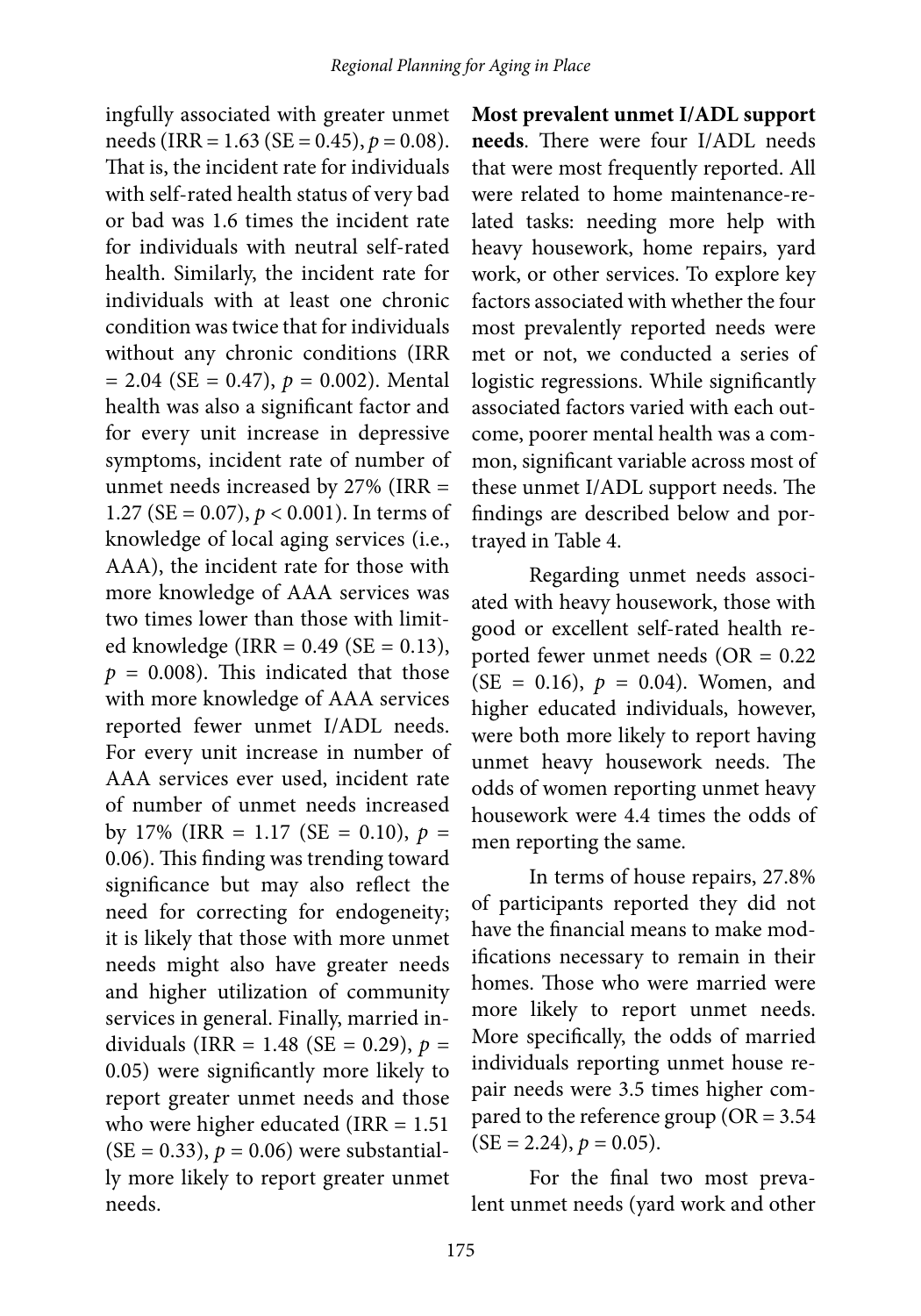ingfully associated with greater unmet needs (IRR = 1.63 (SE = 0.45), *p* = 0.08). That is, the incident rate for individuals with self-rated health status of very bad or bad was 1.6 times the incident rate for individuals with neutral self-rated health. Similarly, the incident rate for individuals with at least one chronic condition was twice that for individuals without any chronic conditions (IRR  $= 2.04$  (SE = 0.47),  $p = 0.002$ ). Mental health was also a significant factor and for every unit increase in depressive symptoms, incident rate of number of unmet needs increased by 27% (IRR = 1.27 (SE = 0.07), *p* < 0.001). In terms of knowledge of local aging services (i.e., AAA), the incident rate for those with more knowledge of AAA services was two times lower than those with limited knowledge (IRR =  $0.49$  (SE =  $0.13$ ),  $p = 0.008$ ). This indicated that those with more knowledge of AAA services reported fewer unmet I/ADL needs. For every unit increase in number of AAA services ever used, incident rate of number of unmet needs increased by 17% (IRR = 1.17 (SE = 0.10),  $p =$ 0.06). This finding was trending toward significance but may also reflect the need for correcting for endogeneity; it is likely that those with more unmet needs might also have greater needs and higher utilization of community services in general. Finally, married individuals (IRR = 1.48 (SE = 0.29),  $p =$ 0.05) were significantly more likely to report greater unmet needs and those who were higher educated (IRR  $= 1.51$ )  $(SE = 0.33), p = 0.06$  were substantially more likely to report greater unmet needs.

**Most prevalent unmet I/ADL support needs**. There were four I/ADL needs that were most frequently reported. All were related to home maintenance-related tasks: needing more help with heavy housework, home repairs, yard work, or other services. To explore key factors associated with whether the four most prevalently reported needs were met or not, we conducted a series of logistic regressions. While significantly associated factors varied with each outcome, poorer mental health was a common, significant variable across most of these unmet I/ADL support needs. The findings are described below and portrayed in Table 4.

Regarding unmet needs associated with heavy housework, those with good or excellent self-rated health reported fewer unmet needs (OR = 0.22  $(SE = 0.16)$ ,  $p = 0.04$ ). Women, and higher educated individuals, however, were both more likely to report having unmet heavy housework needs. The odds of women reporting unmet heavy housework were 4.4 times the odds of men reporting the same.

In terms of house repairs, 27.8% of participants reported they did not have the financial means to make modifications necessary to remain in their homes. Those who were married were more likely to report unmet needs. More specifically, the odds of married individuals reporting unmet house repair needs were 3.5 times higher compared to the reference group ( $OR = 3.54$  $(SE = 2.24), p = 0.05).$ 

For the final two most prevalent unmet needs (yard work and other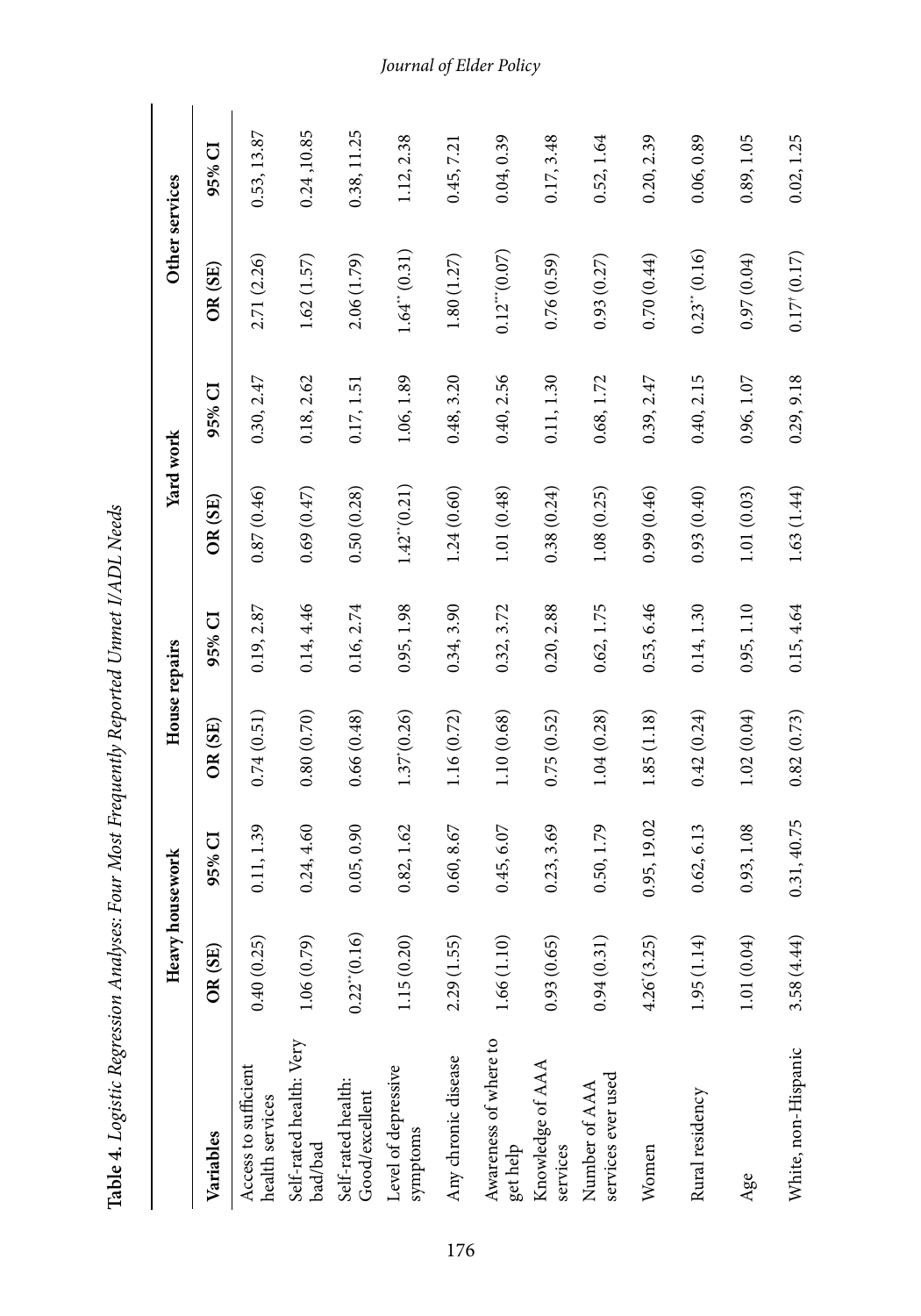|                                         | Heavy housework   |             | House repairs |            | Yard work                   |            | Other services            |             |
|-----------------------------------------|-------------------|-------------|---------------|------------|-----------------------------|------------|---------------------------|-------------|
| Variables                               | OR (SE)           | 95% CI      | OR(SE)        | 95% CI     | OR(SE)                      | 95% CI     | OR(SE)                    | 95% CI      |
| Access to sufficient<br>health services | 0.40(0.25)        | 0.11, 1.39  | 0.74(0.51)    | 0.19, 2.87 | 0.87(0.46)                  | 0.30, 2.47 | 2.71 (2.26)               | 0.53, 13.87 |
| Self-rated health: Very<br>bad/bad      | 1.06(0.79)        | 0.24, 4.60  | 0.80(0.70)    | 0.14, 4.46 | 0.69(0.47)                  | 0.18, 2.62 | 1.62(1.57)                | 0.24, 10.85 |
| Self-rated health:<br>Good/excellent    | $0.22^{**}(0.16)$ | 0.05, 0.90  | 0.66(0.48)    | 0.16, 2.74 | 0.50(0.28)                  | 0.17, 1.51 | 2.06 (1.79)               | 0.38, 11.25 |
| Level of depressive<br>symptoms         | 1.15(0.20)        | 0.82, 1.62  | 1.37(0.26)    | 0.95, 1.98 | $1.42^{\prime\prime}(0.21)$ | 1.06, 1.89 | $1.64^{\ast}(0.31)$       | 1.12, 2.38  |
| Any chronic disease                     | 2.29(1.55)        | 0.60, 8.67  | 1.16(0.72)    | 0.34, 3.90 | 1.24(0.60)                  | 0.48, 3.20 | 1.80(1.27)                | 0.45, 7.21  |
| Awareness of where to<br>get help       | 1.66(1.10)        | 0.45, 6.07  | 1.10(0.68)    | 0.32, 3.72 | 1.01(0.48)                  | 0.40, 2.56 | $0.12^{***} (0.07)$       | 0.04, 0.39  |
| Knowledge of AAA<br>services            | 0.93(0.65)        | 0.23, 3.69  | 0.75(0.52)    | 0.20, 2.88 | 0.38(0.24)                  | 0.11, 1.30 | 0.76(0.59)                | 0.17, 3.48  |
| services ever used<br>Number of AAA     | 0.94(0.31)        | 0.50, 1.79  | 1.04(0.28)    | 0.62, 1.75 | 1.08(0.25)                  | 0.68, 1.72 | 0.93(0.27)                | 0.52, 1.64  |
| Women                                   | 4.26'(3.25)       | 0.95, 19.02 | 1.85(1.18)    | 0.53, 6.46 | 0.99(0.46)                  | 0.39, 2.47 | 0.70(0.44)                | 0.20, 2.39  |
| Rural residency                         | 1.95(1.14)        | 0.62, 6.13  | 0.42(0.24)    | 0.14, 1.30 | (0.93(0.40))                | 0.40, 2.15 | $0.23$ " $(0.16)$         | 0.06, 0.89  |
| Age                                     | 1.01(0.04)        | 0.93, 1.08  | 1.02(0.04)    | 0.95, 1.10 | 1.01(0.03)                  | 0.96, 1.07 | 0.97(0.04)                | 0.89, 1.05  |
| White, non-Hispanic                     | 3.58(4.44)        | 0.31, 40.75 | 0.82(0.73)    | 0.15, 4.64 | 1.63(1.44)                  | 0.29, 9.18 | $0.17^{\dagger}$ $(0.17)$ | 0.02, 1.25  |

Table 4. Logistic Regression Analyses: Four Most Frequently Reported Unmet I/ADL Needs **Table 4.** *Logistic Regression Analyses: Four Most Frequently Reported Unmet I/ADL Needs*

#### *Journal of Elder Policy*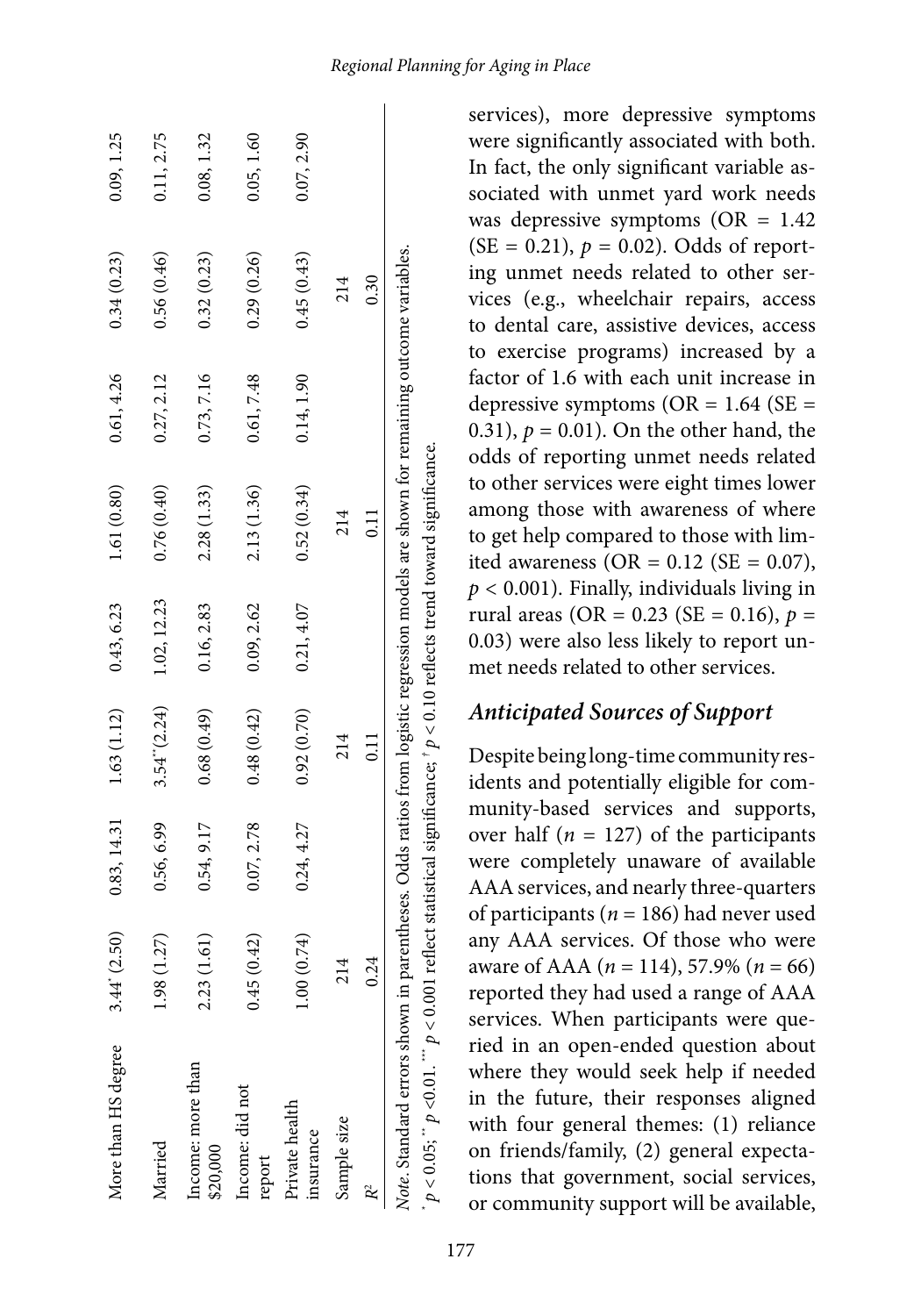| More than HS degree                                                                                                                                                                                                                                               | 3.44' (2.50) | 0.83, 14.31 | 1.63(1.12)        | 0.43, 6.23  | 1.61(0.80)  | 0.61, 4.26 | 0.34(0.23) | 0.09, 1.25 |
|-------------------------------------------------------------------------------------------------------------------------------------------------------------------------------------------------------------------------------------------------------------------|--------------|-------------|-------------------|-------------|-------------|------------|------------|------------|
| Married                                                                                                                                                                                                                                                           | 1.98 (1.27)  | 0.56, 6.99  | $3.54$ " $(2.24)$ | 1.02, 12.23 | 0.76(0.40)  | 0.27, 2.12 | 0.56(0.46) | 0.11, 2.75 |
| Income: more than<br>\$20,000                                                                                                                                                                                                                                     | 2.23(1.61)   | 0.54, 9.17  | (64.0, 88.0)      | 0.16, 2.83  | 2.28(1.33)  | 0.73, 7.16 | 0.32(0.23) | 0.08, 1.32 |
| Income: did not<br>report                                                                                                                                                                                                                                         | 0.45(0.42)   | 0.07, 2.78  | 0.48(0.42)        | 0.09, 2.62  | 2.13 (1.36) | 0.61,7.48  | 0.29(0.26) | 0.05, 1.60 |
| Private health<br>insurance                                                                                                                                                                                                                                       | 1.00(0.74)   | 0.24, 4.27  | 0.92(0.70)        | 0.21, 4.07  | 0.52(0.34)  | 0.14, 1.90 | 0.45(0.43) | 0.07, 2.90 |
| Sample size                                                                                                                                                                                                                                                       | 214          |             | 214               |             | 214         |            | 214        |            |
|                                                                                                                                                                                                                                                                   | 0.24         |             | 0.11              |             | 0.11        |            | 0.30       |            |
| Note. Standard errors shown in parentheses. Odds ratios from logistic regression models are shown for remaining outcome variables.<br>$p < 0.05$ ; " $p < 0.01$ . "" $p < 0.001$ reflect statistical significance; $p < 0.10$ reflects trend toward significance. |              |             |                   |             |             |            |            |            |

services), more depressive symptoms were significantly associated with both. In fact, the only significant variable associated with unmet yard work needs was depressive symptoms  $(OR = 1.42)$  $(SE = 0.21)$ ,  $p = 0.02$ ). Odds of reporting unmet needs related to other services (e.g., wheelchair repairs, access to dental care, assistive devices, access to exercise programs) increased by a factor of 1.6 with each unit increase in depressive symptoms ( $OR = 1.64$  ( $SE =$ 0.31),  $p = 0.01$ ). On the other hand, the odds of reporting unmet needs related to other services were eight times lower among those with awareness of where to get help compared to those with limited awareness (OR =  $0.12$  (SE =  $0.07$ ), *p* < 0.001). Finally, individuals living in rural areas (OR =  $0.23$  (SE =  $0.16$ ),  $p =$ 0.03) were also less likely to report unmet needs related to other services.

#### *Anticipated Sources of Support*

Despite being long-time community residents and potentially eligible for community-based services and supports, over half  $(n = 127)$  of the participants were completely unaware of available AAA services, and nearly three-quarters of participants (*n* = 186) had never used any AAA services. Of those who were aware of AAA (*n* = 114), 57.9% (*n* = 66) reported they had used a range of AAA services. When participants were queried in an open-ended question about where they would seek help if needed in the future, their responses aligned with four general themes: (1) reliance on friends/family, (2) general expectations that government, social services, or community support will be available,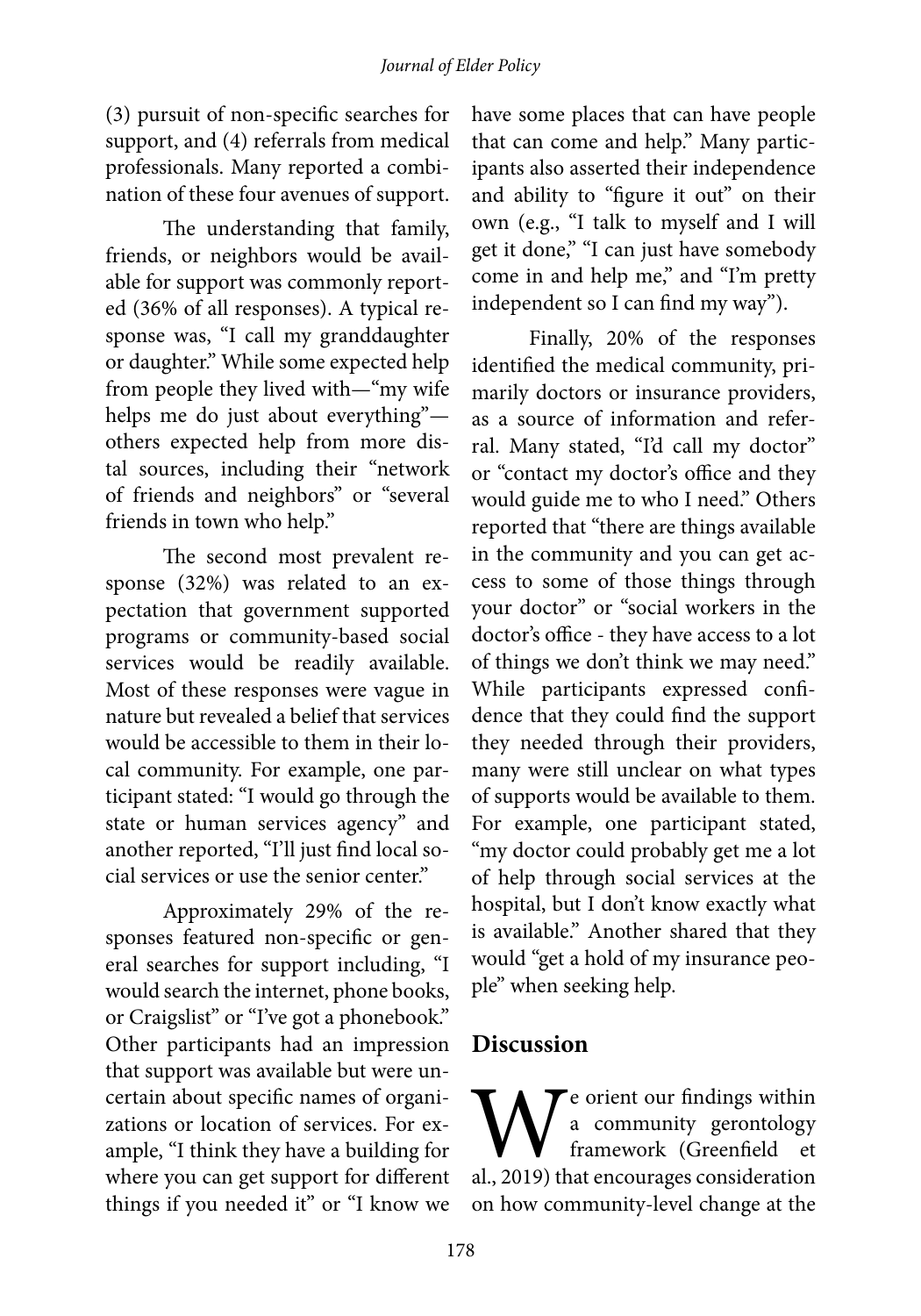(3) pursuit of non-specific searches for support, and (4) referrals from medical professionals. Many reported a combination of these four avenues of support.

The understanding that family, friends, or neighbors would be available for support was commonly reported (36% of all responses). A typical response was, "I call my granddaughter or daughter." While some expected help from people they lived with—"my wife helps me do just about everything" others expected help from more distal sources, including their "network of friends and neighbors" or "several friends in town who help."

The second most prevalent response (32%) was related to an expectation that government supported programs or community-based social services would be readily available. Most of these responses were vague in nature but revealed a belief that services would be accessible to them in their local community. For example, one participant stated: "I would go through the state or human services agency" and another reported, "I'll just find local social services or use the senior center."

Approximately 29% of the responses featured non-specific or general searches for support including, "I would search the internet, phone books, or Craigslist" or "I've got a phonebook." Other participants had an impression that support was available but were uncertain about specific names of organizations or location of services. For example, "I think they have a building for where you can get support for different things if you needed it" or "I know we

have some places that can have people that can come and help." Many participants also asserted their independence and ability to "figure it out" on their own (e.g., "I talk to myself and I will get it done," "I can just have somebody come in and help me," and "I'm pretty independent so I can find my way").

Finally, 20% of the responses identified the medical community, primarily doctors or insurance providers, as a source of information and referral. Many stated, "I'd call my doctor" or "contact my doctor's office and they would guide me to who I need." Others reported that "there are things available in the community and you can get access to some of those things through your doctor" or "social workers in the doctor's office - they have access to a lot of things we don't think we may need." While participants expressed confidence that they could find the support they needed through their providers, many were still unclear on what types of supports would be available to them. For example, one participant stated, "my doctor could probably get me a lot of help through social services at the hospital, but I don't know exactly what is available." Another shared that they would "get a hold of my insurance people" when seeking help.

#### **Discussion**

We orient our findings within<br>a community gerontology<br>framework (Greenfield et<br>al., 2019) that encourages consideration a community gerontology framework (Greenfield et al., 2019) that encourages consideration on how community-level change at the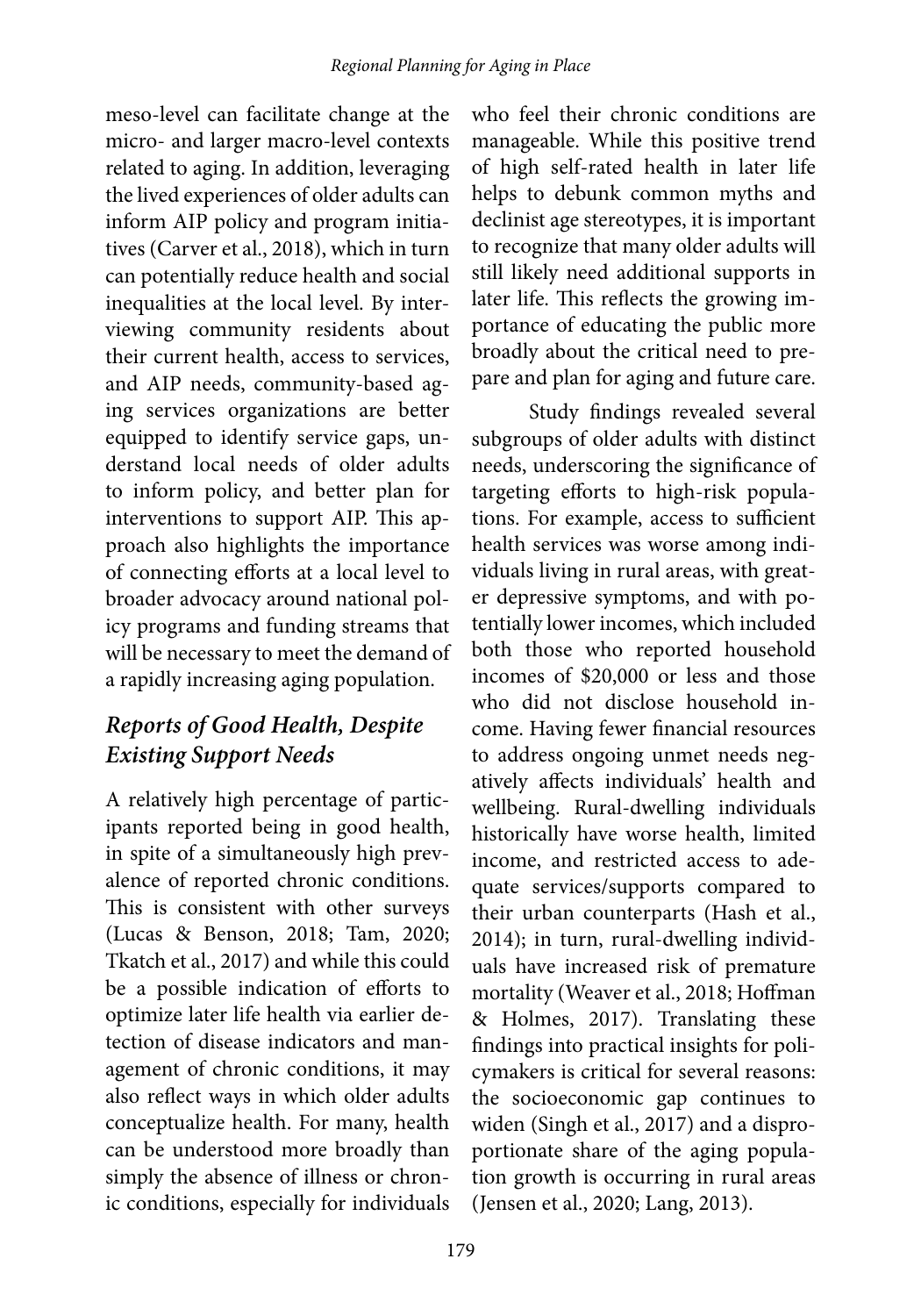meso-level can facilitate change at the micro- and larger macro-level contexts related to aging. In addition, leveraging the lived experiences of older adults can inform AIP policy and program initiatives (Carver et al., 2018), which in turn can potentially reduce health and social inequalities at the local level. By interviewing community residents about their current health, access to services, and AIP needs, community-based aging services organizations are better equipped to identify service gaps, understand local needs of older adults to inform policy, and better plan for interventions to support AIP. This approach also highlights the importance of connecting efforts at a local level to broader advocacy around national policy programs and funding streams that will be necessary to meet the demand of a rapidly increasing aging population.

## *Reports of Good Health, Despite Existing Support Needs*

A relatively high percentage of participants reported being in good health, in spite of a simultaneously high prevalence of reported chronic conditions. This is consistent with other surveys (Lucas & Benson, 2018; Tam, 2020; Tkatch et al., 2017) and while this could be a possible indication of efforts to optimize later life health via earlier detection of disease indicators and management of chronic conditions, it may also reflect ways in which older adults conceptualize health. For many, health can be understood more broadly than simply the absence of illness or chronic conditions, especially for individuals

who feel their chronic conditions are manageable. While this positive trend of high self-rated health in later life helps to debunk common myths and declinist age stereotypes, it is important to recognize that many older adults will still likely need additional supports in later life. This reflects the growing importance of educating the public more broadly about the critical need to prepare and plan for aging and future care.

Study findings revealed several subgroups of older adults with distinct needs, underscoring the significance of targeting efforts to high-risk populations. For example, access to sufficient health services was worse among individuals living in rural areas, with greater depressive symptoms, and with potentially lower incomes, which included both those who reported household incomes of \$20,000 or less and those who did not disclose household income. Having fewer financial resources to address ongoing unmet needs negatively affects individuals' health and wellbeing. Rural-dwelling individuals historically have worse health, limited income, and restricted access to adequate services/supports compared to their urban counterparts (Hash et al., 2014); in turn, rural-dwelling individuals have increased risk of premature mortality (Weaver et al., 2018; Hoffman & Holmes, 2017). Translating these findings into practical insights for policymakers is critical for several reasons: the socioeconomic gap continues to widen (Singh et al., 2017) and a disproportionate share of the aging population growth is occurring in rural areas (Jensen et al., 2020; Lang, 2013).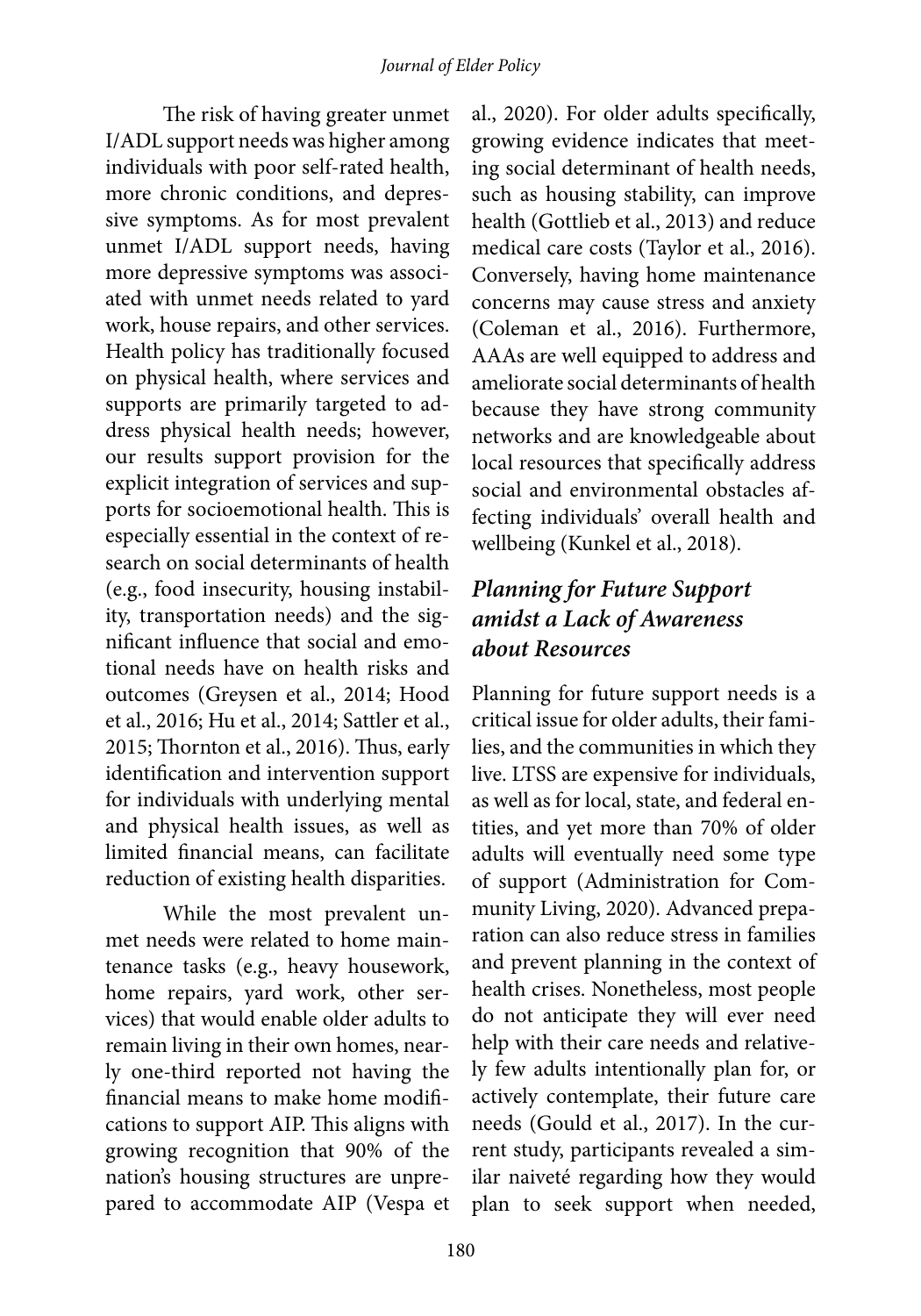The risk of having greater unmet I/ADL support needs was higher among individuals with poor self-rated health, more chronic conditions, and depressive symptoms. As for most prevalent unmet I/ADL support needs, having more depressive symptoms was associated with unmet needs related to yard work, house repairs, and other services. Health policy has traditionally focused on physical health, where services and supports are primarily targeted to address physical health needs; however, our results support provision for the explicit integration of services and supports for socioemotional health. This is especially essential in the context of research on social determinants of health (e.g., food insecurity, housing instability, transportation needs) and the significant influence that social and emotional needs have on health risks and outcomes (Greysen et al., 2014; Hood et al., 2016; Hu et al., 2014; Sattler et al., 2015; Thornton et al., 2016). Thus, early identification and intervention support for individuals with underlying mental and physical health issues, as well as limited financial means, can facilitate reduction of existing health disparities.

While the most prevalent unmet needs were related to home maintenance tasks (e.g., heavy housework, home repairs, yard work, other services) that would enable older adults to remain living in their own homes, nearly one-third reported not having the financial means to make home modifications to support AIP. This aligns with growing recognition that 90% of the nation's housing structures are unprepared to accommodate AIP (Vespa et

al., 2020). For older adults specifically, growing evidence indicates that meeting social determinant of health needs, such as housing stability, can improve health (Gottlieb et al., 2013) and reduce medical care costs (Taylor et al., 2016). Conversely, having home maintenance concerns may cause stress and anxiety (Coleman et al., 2016). Furthermore, AAAs are well equipped to address and ameliorate social determinants of health because they have strong community networks and are knowledgeable about local resources that specifically address social and environmental obstacles affecting individuals' overall health and wellbeing (Kunkel et al., 2018).

## *Planning for Future Support amidst a Lack of Awareness about Resources*

Planning for future support needs is a critical issue for older adults, their families, and the communities in which they live. LTSS are expensive for individuals, as well as for local, state, and federal entities, and yet more than 70% of older adults will eventually need some type of support (Administration for Community Living, 2020). Advanced preparation can also reduce stress in families and prevent planning in the context of health crises. Nonetheless, most people do not anticipate they will ever need help with their care needs and relatively few adults intentionally plan for, or actively contemplate, their future care needs (Gould et al., 2017). In the current study, participants revealed a similar naiveté regarding how they would plan to seek support when needed,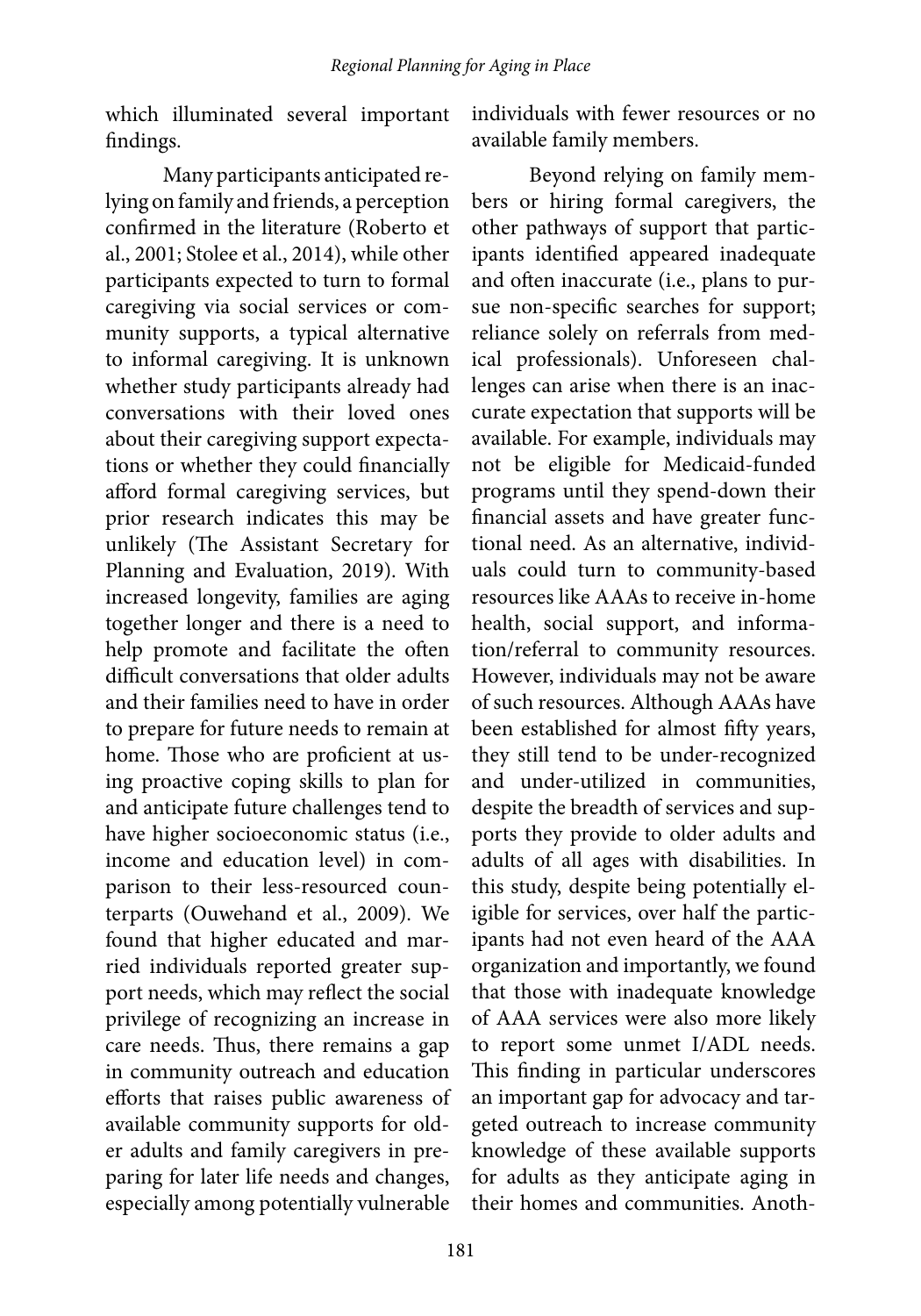which illuminated several important findings.

Many participants anticipated relying on family and friends, a perception confirmed in the literature (Roberto et al., 2001; Stolee et al., 2014), while other participants expected to turn to formal caregiving via social services or community supports, a typical alternative to informal caregiving. It is unknown whether study participants already had conversations with their loved ones about their caregiving support expectations or whether they could financially afford formal caregiving services, but prior research indicates this may be unlikely (The Assistant Secretary for Planning and Evaluation, 2019). With increased longevity, families are aging together longer and there is a need to help promote and facilitate the often difficult conversations that older adults and their families need to have in order to prepare for future needs to remain at home. Those who are proficient at using proactive coping skills to plan for and anticipate future challenges tend to have higher socioeconomic status (i.e., income and education level) in comparison to their less-resourced counterparts (Ouwehand et al., 2009). We found that higher educated and married individuals reported greater support needs, which may reflect the social privilege of recognizing an increase in care needs. Thus, there remains a gap in community outreach and education efforts that raises public awareness of available community supports for older adults and family caregivers in preparing for later life needs and changes, especially among potentially vulnerable

individuals with fewer resources or no available family members.

Beyond relying on family members or hiring formal caregivers, the other pathways of support that participants identified appeared inadequate and often inaccurate (i.e., plans to pursue non-specific searches for support; reliance solely on referrals from medical professionals). Unforeseen challenges can arise when there is an inaccurate expectation that supports will be available. For example, individuals may not be eligible for Medicaid-funded programs until they spend-down their financial assets and have greater functional need. As an alternative, individuals could turn to community-based resources like AAAs to receive in-home health, social support, and information/referral to community resources. However, individuals may not be aware of such resources. Although AAAs have been established for almost fifty years, they still tend to be under-recognized and under-utilized in communities, despite the breadth of services and supports they provide to older adults and adults of all ages with disabilities. In this study, despite being potentially eligible for services, over half the participants had not even heard of the AAA organization and importantly, we found that those with inadequate knowledge of AAA services were also more likely to report some unmet I/ADL needs. This finding in particular underscores an important gap for advocacy and targeted outreach to increase community knowledge of these available supports for adults as they anticipate aging in their homes and communities. Anoth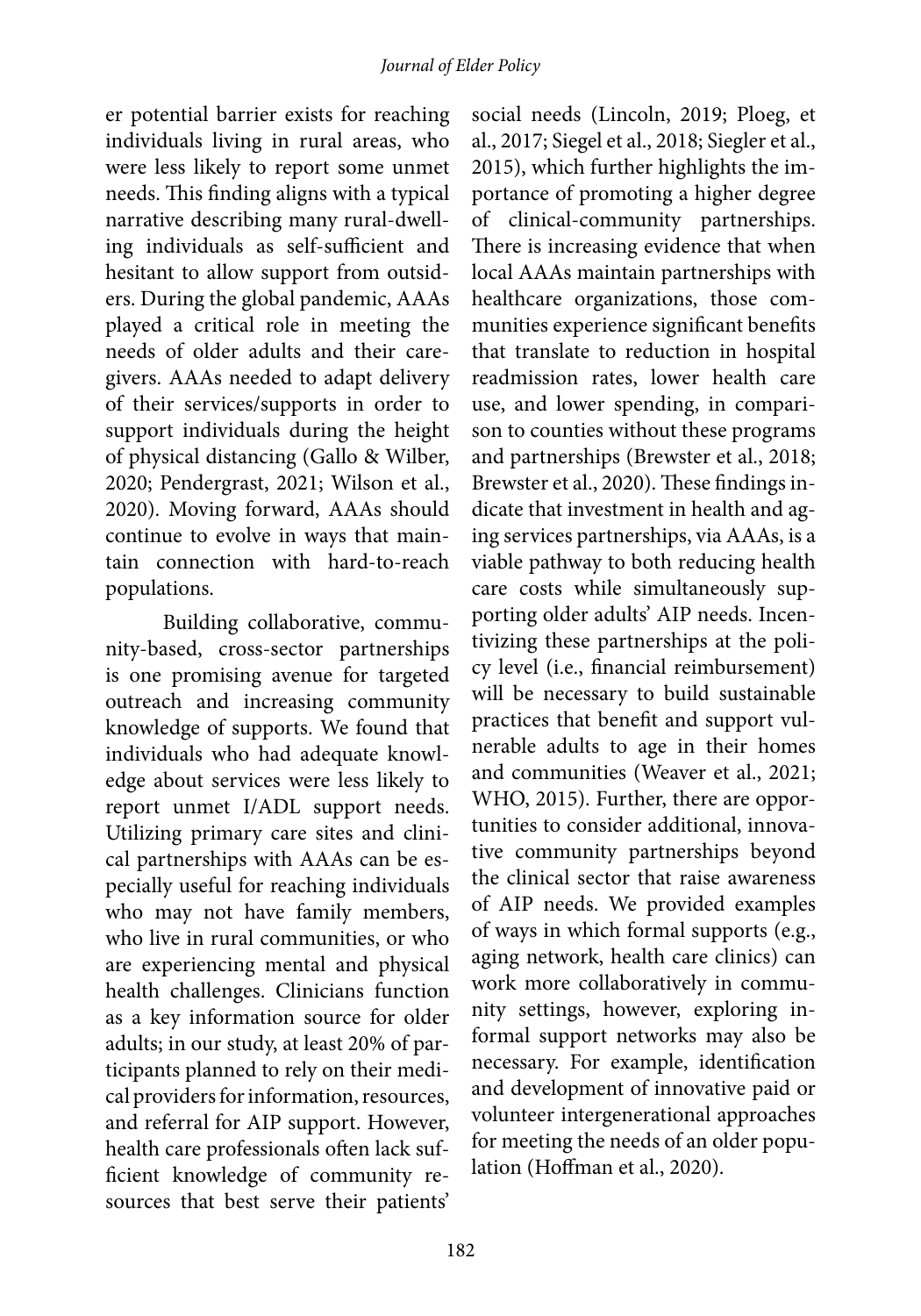er potential barrier exists for reaching individuals living in rural areas, who were less likely to report some unmet needs. This finding aligns with a typical narrative describing many rural-dwelling individuals as self-sufficient and hesitant to allow support from outsiders. During the global pandemic, AAAs played a critical role in meeting the needs of older adults and their caregivers. AAAs needed to adapt delivery of their services/supports in order to support individuals during the height of physical distancing (Gallo & Wilber, 2020; Pendergrast, 2021; Wilson et al., 2020). Moving forward, AAAs should continue to evolve in ways that maintain connection with hard-to-reach populations.

Building collaborative, community-based, cross-sector partnerships is one promising avenue for targeted outreach and increasing community knowledge of supports. We found that individuals who had adequate knowledge about services were less likely to report unmet I/ADL support needs. Utilizing primary care sites and clinical partnerships with AAAs can be especially useful for reaching individuals who may not have family members, who live in rural communities, or who are experiencing mental and physical health challenges. Clinicians function as a key information source for older adults; in our study, at least 20% of participants planned to rely on their medical providers for information, resources, and referral for AIP support. However, health care professionals often lack sufficient knowledge of community resources that best serve their patients'

social needs (Lincoln, 2019; Ploeg, et al., 2017; Siegel et al., 2018; Siegler et al., 2015), which further highlights the importance of promoting a higher degree of clinical-community partnerships. There is increasing evidence that when local AAAs maintain partnerships with healthcare organizations, those communities experience significant benefits that translate to reduction in hospital readmission rates, lower health care use, and lower spending, in comparison to counties without these programs and partnerships (Brewster et al., 2018; Brewster et al., 2020). These findings indicate that investment in health and aging services partnerships, via AAAs, is a viable pathway to both reducing health care costs while simultaneously supporting older adults' AIP needs. Incentivizing these partnerships at the policy level (i.e., financial reimbursement) will be necessary to build sustainable practices that benefit and support vulnerable adults to age in their homes and communities (Weaver et al., 2021; WHO, 2015). Further, there are opportunities to consider additional, innovative community partnerships beyond the clinical sector that raise awareness of AIP needs. We provided examples of ways in which formal supports (e.g., aging network, health care clinics) can work more collaboratively in community settings, however, exploring informal support networks may also be necessary. For example, identification and development of innovative paid or volunteer intergenerational approaches for meeting the needs of an older population (Hoffman et al., 2020).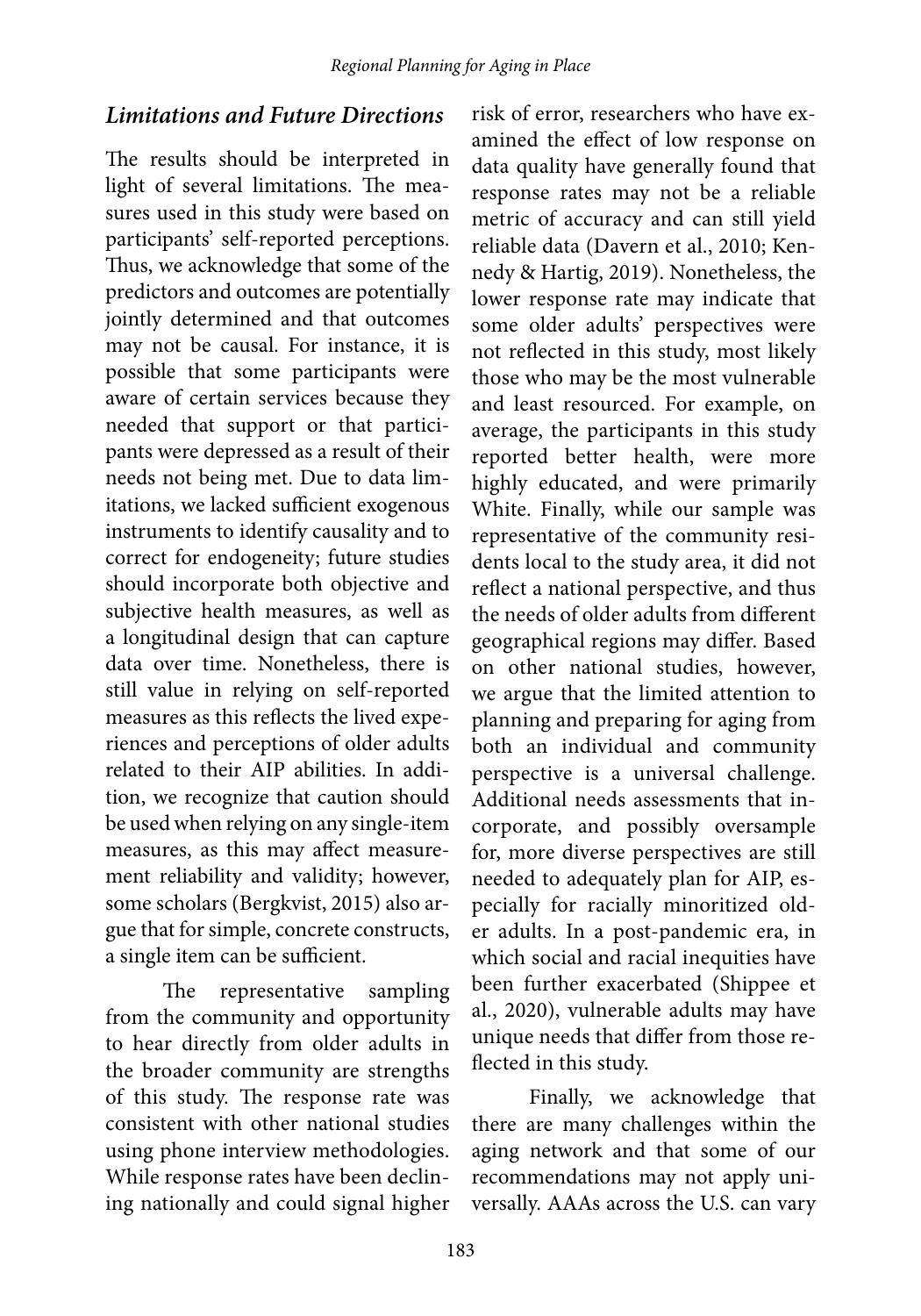#### *Limitations and Future Directions*

The results should be interpreted in light of several limitations. The measures used in this study were based on participants' self-reported perceptions. Thus, we acknowledge that some of the predictors and outcomes are potentially jointly determined and that outcomes may not be causal. For instance, it is possible that some participants were aware of certain services because they needed that support or that participants were depressed as a result of their needs not being met. Due to data limitations, we lacked sufficient exogenous instruments to identify causality and to correct for endogeneity; future studies should incorporate both objective and subjective health measures, as well as a longitudinal design that can capture data over time. Nonetheless, there is still value in relying on self-reported measures as this reflects the lived experiences and perceptions of older adults related to their AIP abilities. In addition, we recognize that caution should be used when relying on any single-item measures, as this may affect measurement reliability and validity; however, some scholars (Bergkvist, 2015) also argue that for simple, concrete constructs, a single item can be sufficient.

The representative sampling from the community and opportunity to hear directly from older adults in the broader community are strengths of this study. The response rate was consistent with other national studies using phone interview methodologies. While response rates have been declining nationally and could signal higher

risk of error, researchers who have examined the effect of low response on data quality have generally found that response rates may not be a reliable metric of accuracy and can still yield reliable data (Davern et al., 2010; Kennedy & Hartig, 2019). Nonetheless, the lower response rate may indicate that some older adults' perspectives were not reflected in this study, most likely those who may be the most vulnerable and least resourced. For example, on average, the participants in this study reported better health, were more highly educated, and were primarily White. Finally, while our sample was representative of the community residents local to the study area, it did not reflect a national perspective, and thus the needs of older adults from different geographical regions may differ. Based on other national studies, however, we argue that the limited attention to planning and preparing for aging from both an individual and community perspective is a universal challenge. Additional needs assessments that incorporate, and possibly oversample for, more diverse perspectives are still needed to adequately plan for AIP, especially for racially minoritized older adults. In a post-pandemic era, in which social and racial inequities have been further exacerbated (Shippee et al., 2020), vulnerable adults may have unique needs that differ from those reflected in this study.

Finally, we acknowledge that there are many challenges within the aging network and that some of our recommendations may not apply universally. AAAs across the U.S. can vary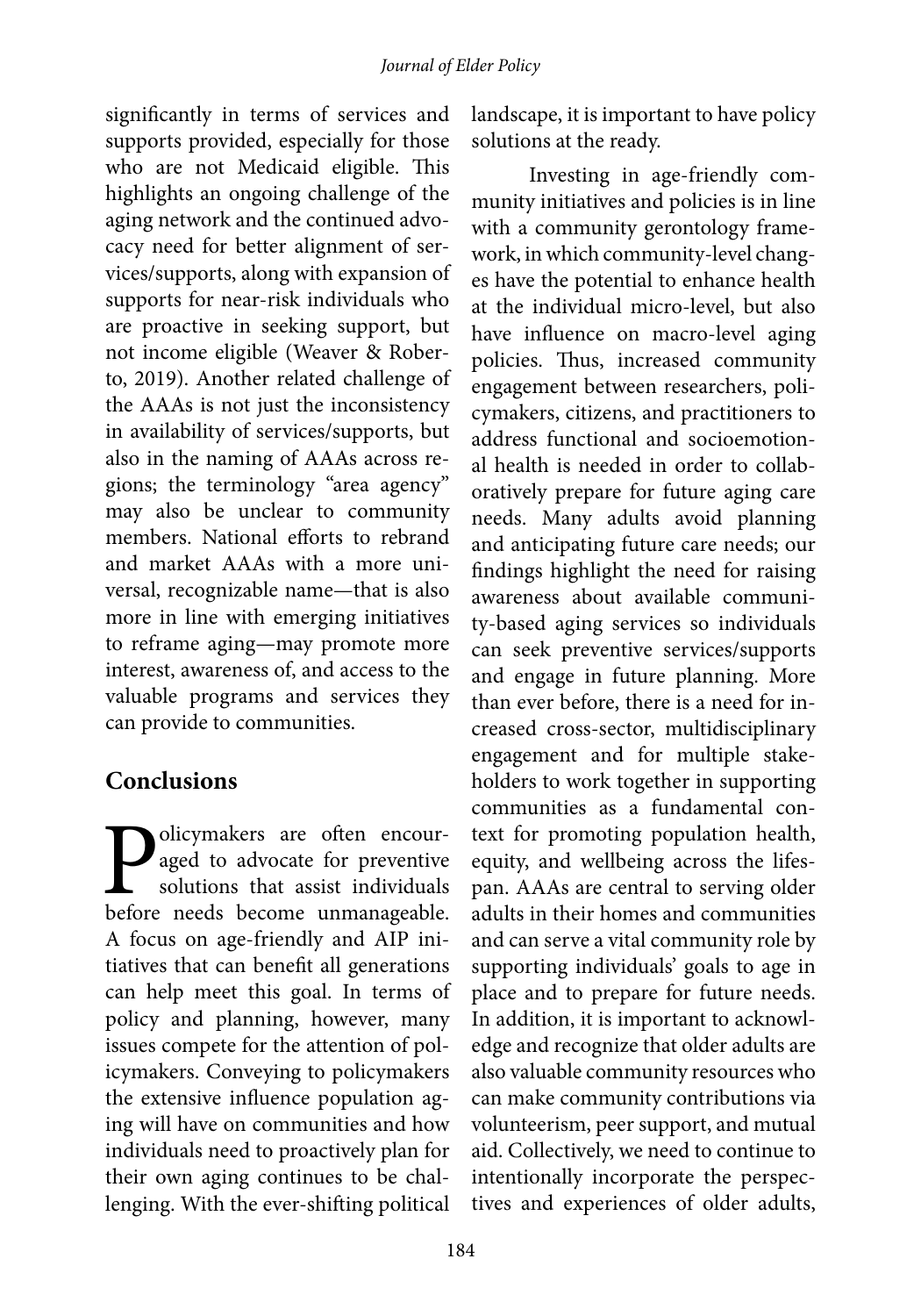significantly in terms of services and supports provided, especially for those who are not Medicaid eligible. This highlights an ongoing challenge of the aging network and the continued advocacy need for better alignment of services/supports, along with expansion of supports for near-risk individuals who are proactive in seeking support, but not income eligible (Weaver & Roberto, 2019). Another related challenge of the AAAs is not just the inconsistency in availability of services/supports, but also in the naming of AAAs across regions; the terminology "area agency" may also be unclear to community members. National efforts to rebrand and market AAAs with a more universal, recognizable name—that is also more in line with emerging initiatives to reframe aging—may promote more interest, awareness of, and access to the valuable programs and services they can provide to communities.

### **Conclusions**

**Policymakers** are often encouraged to advocate for preventive solutions that assist individuals before needs become unmanageable. aged to advocate for preventive solutions that assist individuals before needs become unmanageable. A focus on age-friendly and AIP initiatives that can benefit all generations can help meet this goal. In terms of policy and planning, however, many issues compete for the attention of policymakers. Conveying to policymakers the extensive influence population aging will have on communities and how individuals need to proactively plan for their own aging continues to be challenging. With the ever-shifting political

landscape, it is important to have policy solutions at the ready.

Investing in age-friendly community initiatives and policies is in line with a community gerontology framework, in which community-level changes have the potential to enhance health at the individual micro-level, but also have influence on macro-level aging policies. Thus, increased community engagement between researchers, policymakers, citizens, and practitioners to address functional and socioemotional health is needed in order to collaboratively prepare for future aging care needs. Many adults avoid planning and anticipating future care needs; our findings highlight the need for raising awareness about available community-based aging services so individuals can seek preventive services/supports and engage in future planning. More than ever before, there is a need for increased cross-sector, multidisciplinary engagement and for multiple stakeholders to work together in supporting communities as a fundamental context for promoting population health, equity, and wellbeing across the lifespan. AAAs are central to serving older adults in their homes and communities and can serve a vital community role by supporting individuals' goals to age in place and to prepare for future needs. In addition, it is important to acknowledge and recognize that older adults are also valuable community resources who can make community contributions via volunteerism, peer support, and mutual aid. Collectively, we need to continue to intentionally incorporate the perspectives and experiences of older adults,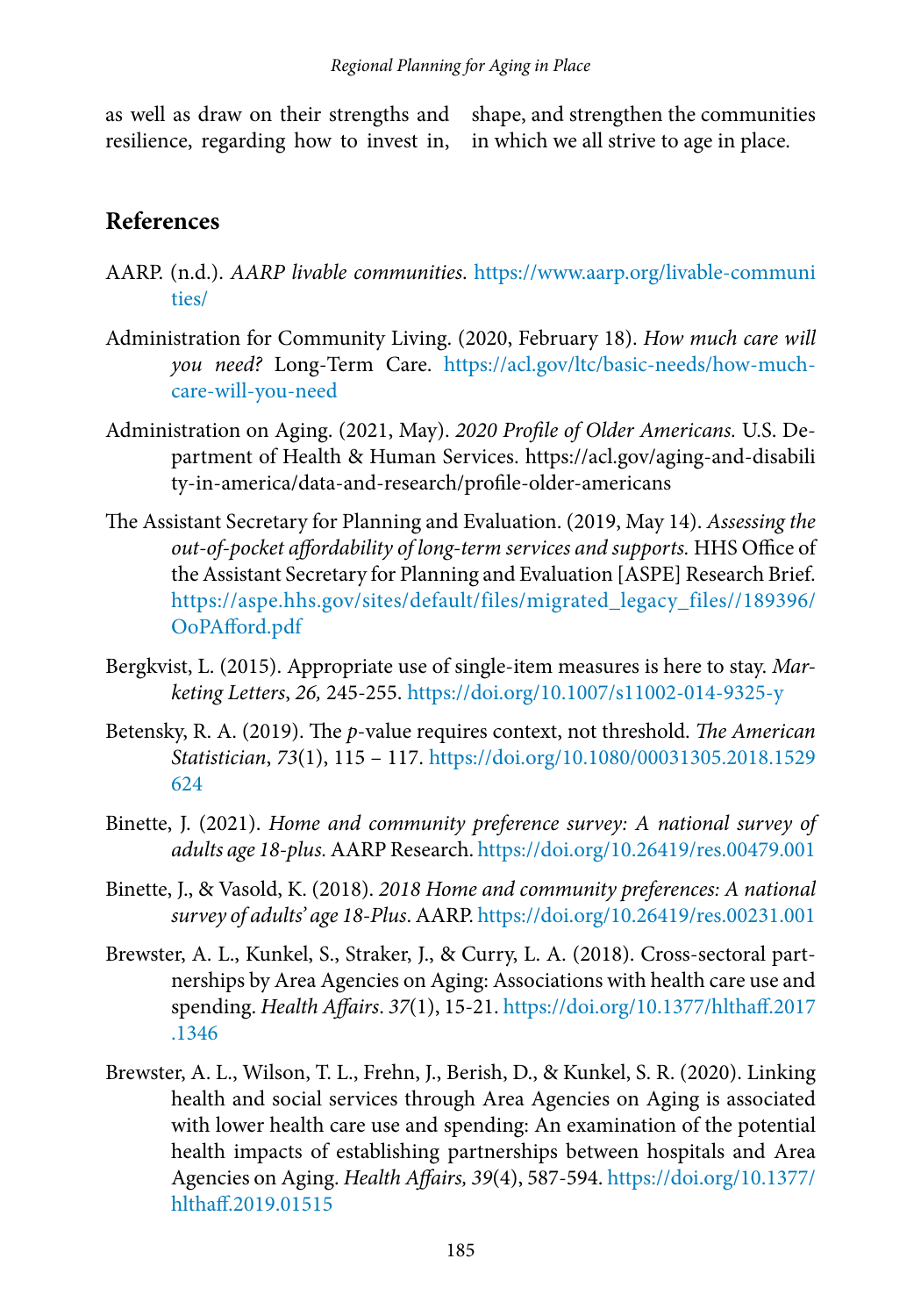as well as draw on their strengths and resilience, regarding how to invest in, shape, and strengthen the communities in which we all strive to age in place.

### **References**

- AARP. (n.d.). *AARP livable communities*. [https://www.aarp.org/livable-communi](https://www.aarp.org/livable-communities/) [ties/](https://www.aarp.org/livable-communities/)
- Administration for Community Living. (2020, February 18). *How much care will you need?* Long-Term Care. [https://acl.gov/ltc/basic-needs/how-much](https://acl.gov/ltc/basic-needs/how-much-care-will-you-need)[care-will-you-need](https://acl.gov/ltc/basic-needs/how-much-care-will-you-need)
- Administration on Aging. (2021, May). *2020 Profile of Older Americans.* U.S. Department of Health & Human Services. https://acl.gov/aging-and-disabili ty-in-america/data-and-research/profile-older-americans
- The Assistant Secretary for Planning and Evaluation. (2019, May 14). *Assessing the out-of-pocket affordability of long-term services and supports.* HHS Office of the Assistant Secretary for Planning and Evaluation [ASPE] Research Brief. [https://aspe.hhs.gov/sites/default/files/migrated\\_legacy\\_files//189396/](https://aspe.hhs.gov/sites/default/files/migrated_legacy_files//189396/OoPAfford.pdf) [OoPAfford.pdf](https://aspe.hhs.gov/sites/default/files/migrated_legacy_files//189396/OoPAfford.pdf)
- Bergkvist, L. (2015). Appropriate use of single-item measures is here to stay. *Marketing Letters*, *26,* 245-255. <https://doi.org/10.1007/s11002-014-9325-y>
- Betensky, R. A. (2019). The *p*-value requires context, not threshold. *The American Statistician*, *73*(1), 115 – 117. [https://doi.org/1](https://doi.org/10.1080/00031305.2018.1529624 )0.1080/00031305.2018.1529 624
- Binette, J. (2021). *Home and community preference survey: A national survey of adults age 18-plus.* AARP Research.<https://doi.org/10.26419/res.00479.001>
- Binette, J., & Vasold, K. (2018). *2018 Home and community preferences: A national survey of adults' age 18-Plus*. AARP.<https://doi.org/10.26419/res.00231.001>
- Brewster, A. L., Kunkel, S., Straker, J., & Curry, L. A. (2018). Cross-sectoral partnerships by Area Agencies on Aging: Associations with health care use and spending. *Health Affairs*. *37*(1), 15-21. [https://doi.org/10.1377/hlthaff.2017](https://doi.org/10.1377/hlthaff.2017.1346) [.1346](https://doi.org/10.1377/hlthaff.2017.1346)
- Brewster, A. L., Wilson, T. L., Frehn, J., Berish, D., & Kunkel, S. R. (2020). Linking health and social services through Area Agencies on Aging is associated with lower health care use and spending: An examination of the potential health impacts of establishing partnerships between hospitals and Area Agencies on Aging. *Health Affairs, 39*(4), 587-594. [https://doi.org/10.1377/](https://doi.org/10.1377/hlthaff.2019.01515) [hlthaff.2019.01515](https://doi.org/10.1377/hlthaff.2019.01515)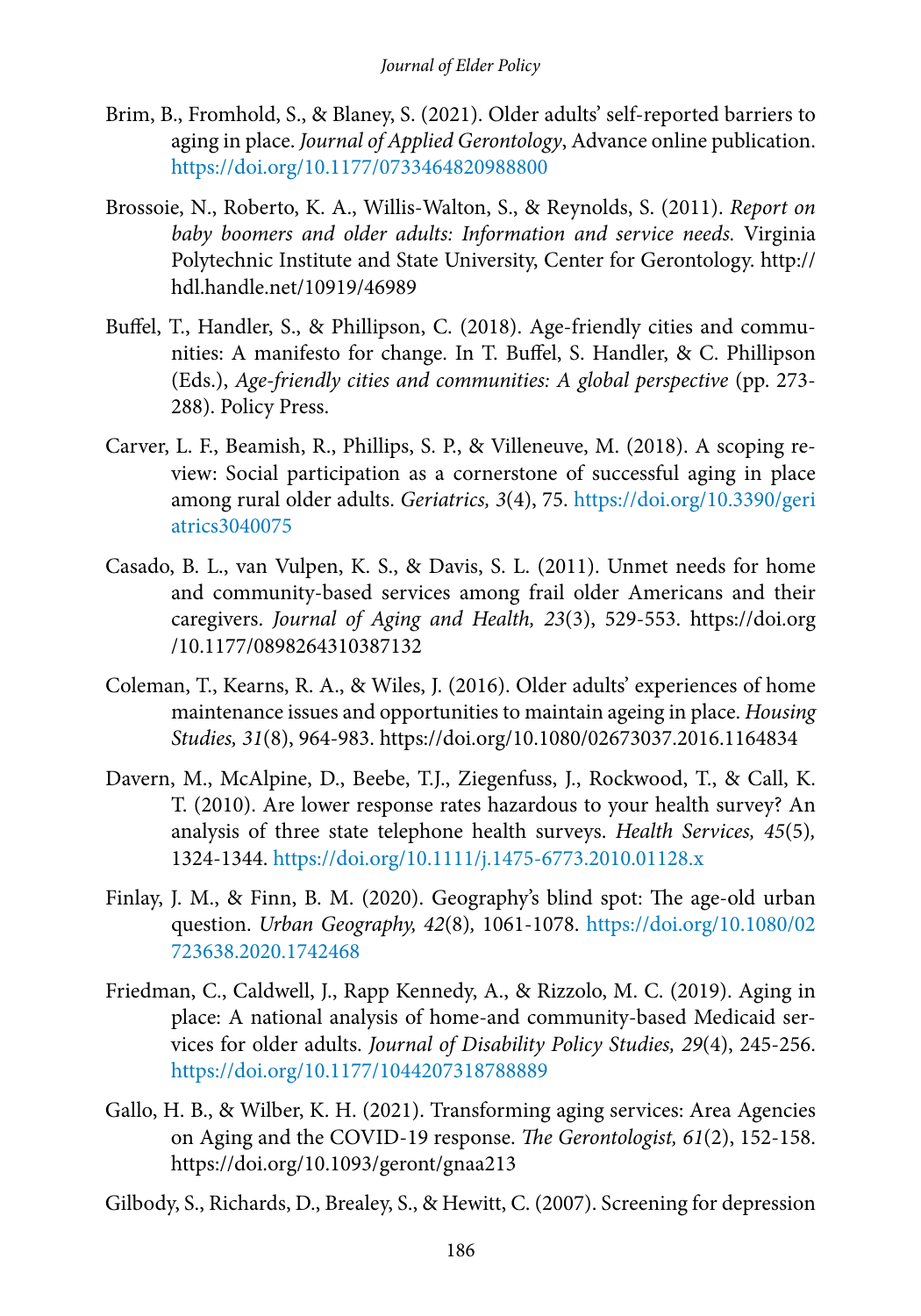- Brim, B., Fromhold, S., & Blaney, S. (2021). Older adults' self-reported barriers to aging in place. *Journal of Applied Gerontology*, Advance online publication. <https://doi.org/10.1177/0733464820988800>
- Brossoie, N., Roberto, K. A., Willis-Walton, S., & Reynolds, S. (2011). *Report on baby boomers and older adults: Information and service needs.* Virginia Polytechnic Institute and State University, Center for Gerontology. http:// hdl.handle.net/10919/46989
- Buffel, T., Handler, S., & Phillipson, C. (2018). Age-friendly cities and communities: A manifesto for change. In T. Buffel, S. Handler, & C. Phillipson (Eds.), *Age-friendly cities and communities: A global perspective* (pp. 273- 288). Policy Press.
- Carver, L. F., Beamish, R., Phillips, S. P., & Villeneuve, M. (2018). A scoping review: Social participation as a cornerstone of successful aging in place among rural older adults. *Geriatrics, 3*(4), 75. [https://doi.org/10.3390/geri](https://doi.org/10.3390/geriatrics3040075) [atrics3040075](https://doi.org/10.3390/geriatrics3040075)
- Casado, B. L., van Vulpen, K. S., & Davis, S. L. (2011). Unmet needs for home and community-based services among frail older Americans and their caregivers. *Journal of Aging and Health, 23*(3), 529-553. https://doi.org /10.1177/0898264310387132
- Coleman, T., Kearns, R. A., & Wiles, J. (2016). Older adults' experiences of home maintenance issues and opportunities to maintain ageing in place. *Housing Studies, 31*(8), 964-983. https://doi.org/10.1080/02673037.2016.1164834
- Davern, M., McAlpine, D., Beebe, T.J., Ziegenfuss, J., Rockwood, T., & Call, K. T. (2010). Are lower response rates hazardous to your health survey? An analysis of three state telephone health surveys. *Health Services, 45*(5)*,* 1324-1344.<https://doi.org/10.1111/j.1475-6773.2010.01128.x>
- Finlay, J. M., & Finn, B. M. (2020). Geography's blind spot: The age-old urban question. *Urban Geography, 42*(8)*,* 1061-1078. [https://doi.org/10.1080/02](https://doi.org/10.1080/02723638.2020.1742468) [723638.2020.1742468](https://doi.org/10.1080/02723638.2020.1742468)
- Friedman, C., Caldwell, J., Rapp Kennedy, A., & Rizzolo, M. C. (2019). Aging in place: A national analysis of home-and community-based Medicaid services for older adults. *Journal of Disability Policy Studies, 29*(4), 245-256. <https://doi.org/10.1177/1044207318788889>
- Gallo, H. B., & Wilber, K. H. (2021). Transforming aging services: Area Agencies on Aging and the COVID-19 response. *The Gerontologist, 61*(2), 152-158. https://doi.org/10.1093/geront/gnaa213
- Gilbody, S., Richards, D., Brealey, S., & Hewitt, C. (2007). Screening for depression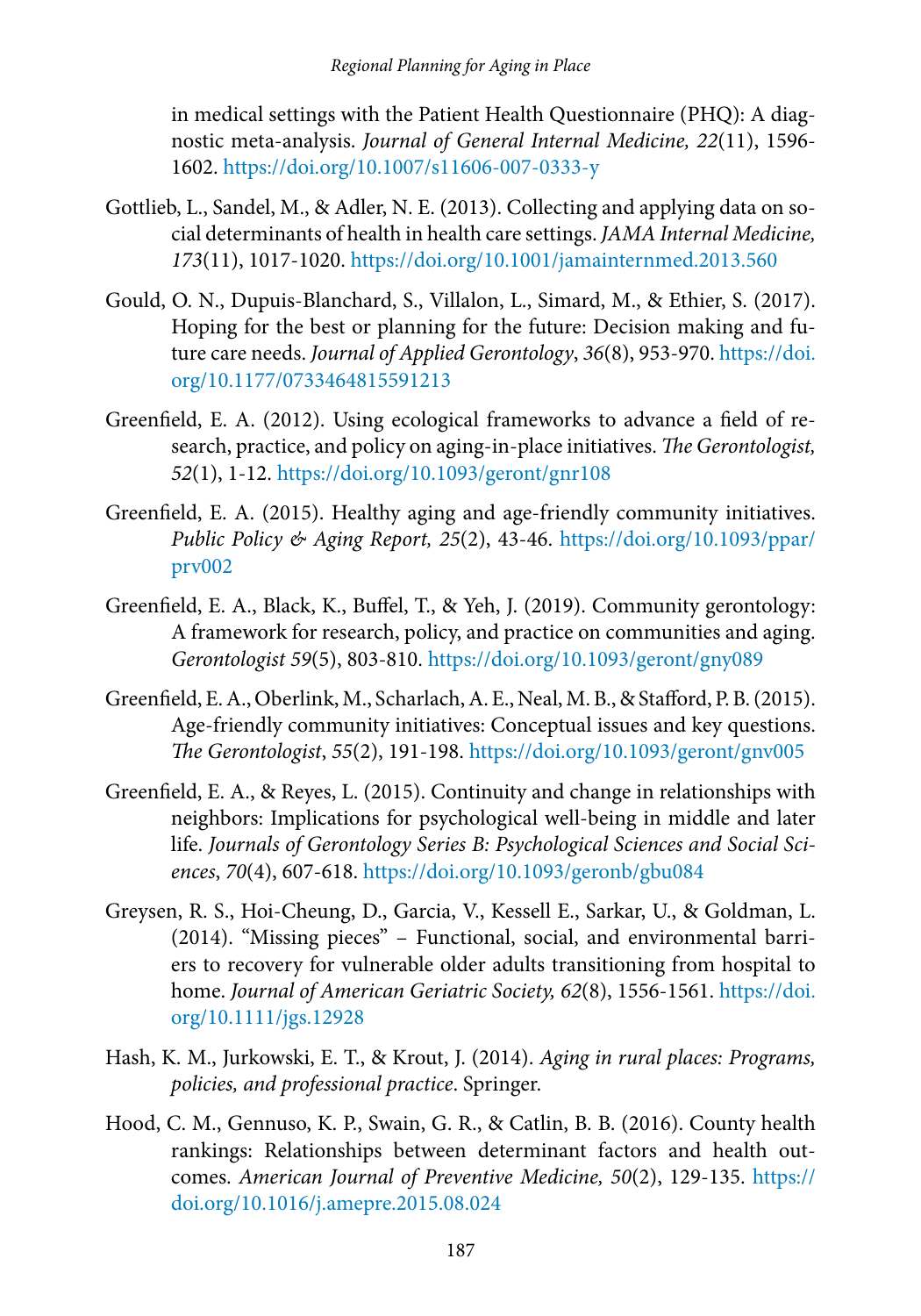in medical settings with the Patient Health Questionnaire (PHQ): A diagnostic meta-analysis. *Journal of General Internal Medicine, 22*(11), 1596- 1602.<https://doi.org/10.1007/s11606-007-0333-y>

- Gottlieb, L., Sandel, M., & Adler, N. E. (2013). Collecting and applying data on social determinants of health in health care settings. *JAMA Internal Medicine, 173*(11), 1017-1020. <https://doi.org/10.1001/jamainternmed.2013.560>
- Gould, O. N., Dupuis-Blanchard, S., Villalon, L., Simard, M., & Ethier, S. (2017). Hoping for the best or planning for the future: Decision making and future care needs. *Journal of Applied Gerontology*, *36*(8), 953-970. [https://doi.](https://doi.org/10.1177/0733464815591213) [org/10.1177/0733464815591213](https://doi.org/10.1177/0733464815591213)
- Greenfield, E. A. (2012). Using ecological frameworks to advance a field of research, practice, and policy on aging-in-place initiatives. *The Gerontologist, 52*(1), 1-12. <https://doi.org/10.1093/geront/gnr108>
- Greenfield, E. A. (2015). Healthy aging and age-friendly community initiatives. *Public Policy & Aging Report, 25*(2), 43-46. [https://doi.org/10.1093/ppar/](https://doi.org/10.1093/ppar/prv002) [prv002](https://doi.org/10.1093/ppar/prv002)
- Greenfield, E. A., Black, K., Buffel, T., & Yeh, J. (2019). Community gerontology: A framework for research, policy, and practice on communities and aging. *Gerontologist 59*(5), 803-810.<https://doi.org/10.1093/geront/gny089>
- Greenfield, E. A., Oberlink, M., Scharlach, A. E., Neal, M. B., & Stafford, P. B. (2015). Age-friendly community initiatives: Conceptual issues and key questions. *The Gerontologist*, *55*(2), 191-198. <https://doi.org/10.1093/geront/gnv005>
- Greenfield, E. A., & Reyes, L. (2015). Continuity and change in relationships with neighbors: Implications for psychological well-being in middle and later life. *Journals of Gerontology Series B: Psychological Sciences and Social Sciences*, *70*(4), 607-618. <https://doi.org/10.1093/geronb/gbu084>
- Greysen, R. S., Hoi-Cheung, D., Garcia, V., Kessell E., Sarkar, U., & Goldman, L. (2014). "Missing pieces" – Functional, social, and environmental barriers to recovery for vulnerable older adults transitioning from hospital to home. *Journal of American Geriatric Society, 62*(8), 1556-1561. [https://doi.](https://doi.org/10.1111/jgs.12928) [org/10.1111/jgs.12928](https://doi.org/10.1111/jgs.12928)
- Hash, K. M., Jurkowski, E. T., & Krout, J. (2014). *Aging in rural places: Programs, policies, and professional practice*. Springer.
- Hood, C. M., Gennuso, K. P., Swain, G. R., & Catlin, B. B. (2016). County health rankings: Relationships between determinant factors and health outcomes. *American Journal of Preventive Medicine, 50*(2), 129-135. [https://](https://doi.org/10.1016/j.amepre.2015.08.024) [doi.org/10.1016/j.amepre.2015.08.024](https://doi.org/10.1016/j.amepre.2015.08.024)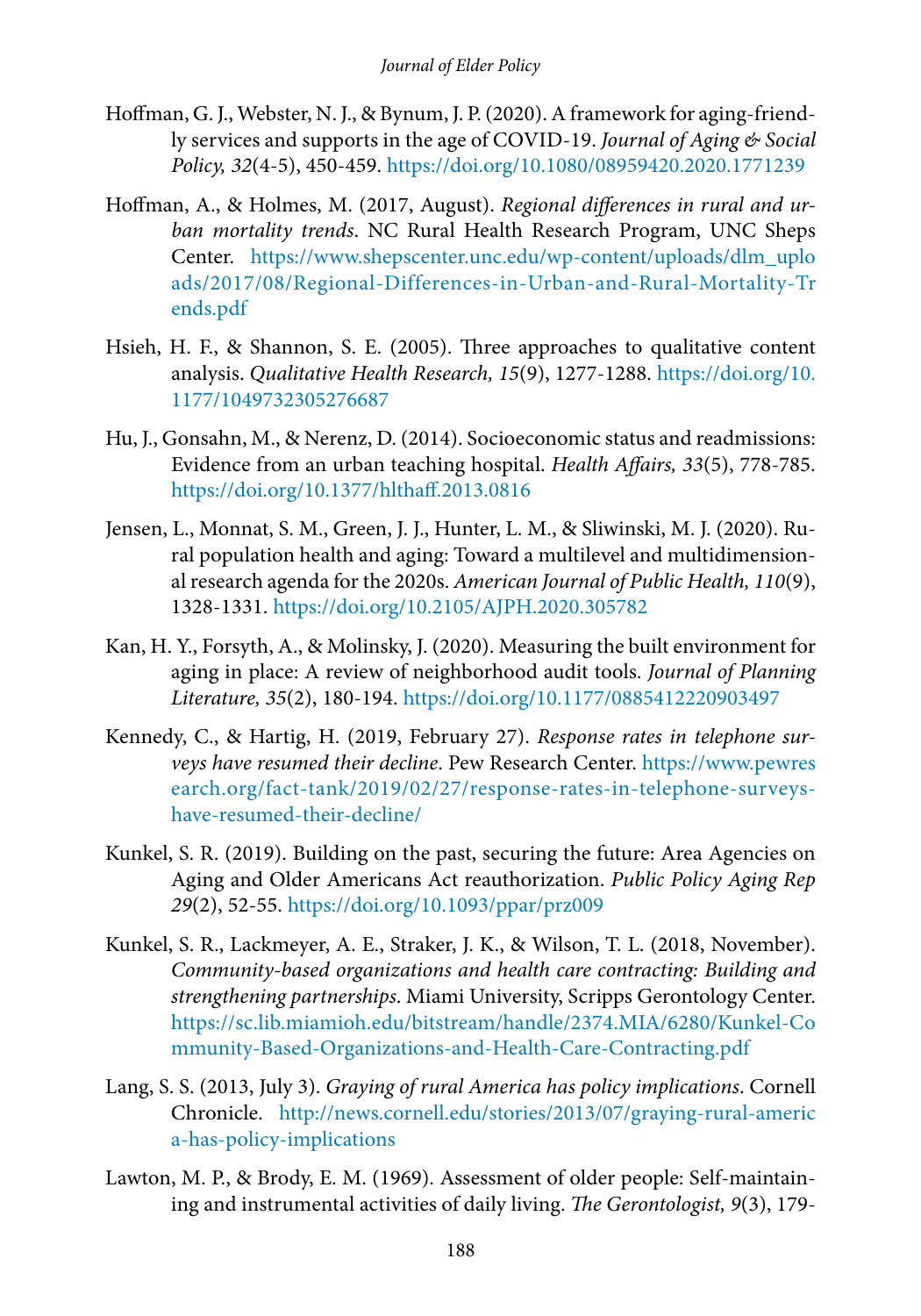- Hoffman, G. J., Webster, N. J., & Bynum, J. P. (2020). A framework for aging-friendly services and supports in the age of COVID-19. *Journal of Aging & Social Policy, 32*(4-5), 450-459. <https://doi.org/10.1080/08959420.2020.1771239>
- Hoffman, A., & Holmes, M. (2017, August). *Regional differences in rural and urban mortality trends*. NC Rural Health Research Program, UNC Sheps Center. [https://www.shepscenter.unc.edu/wp-content/uploads/dlm\\_uplo](https://www.shepscenter.unc.edu/wp-content/uploads/dlm_uploads/2017/08/Regional-Differences-in-Urban-and-Rural-Mortality-Trends.pdf) [ads/2017/08/Regional-Differences-in-Urban-and-Rural-Mortality-Tr](https://www.shepscenter.unc.edu/wp-content/uploads/dlm_uploads/2017/08/Regional-Differences-in-Urban-and-Rural-Mortality-Trends.pdf) [ends.pdf](https://www.shepscenter.unc.edu/wp-content/uploads/dlm_uploads/2017/08/Regional-Differences-in-Urban-and-Rural-Mortality-Trends.pdf)
- Hsieh, H. F., & Shannon, S. E. (2005). Three approaches to qualitative content analysis. *Qualitative Health Research, 15*(9), 1277-1288. [https://doi.org/10.](https://doi.org/10.1177/1049732305276687) [1177/1049732305276687](https://doi.org/10.1177/1049732305276687)
- Hu, J., Gonsahn, M., & Nerenz, D. (2014). Socioeconomic status and readmissions: Evidence from an urban teaching hospital. *Health Affairs, 33*(5), 778-785. <https://doi.org/10.1377/hlthaff.2013.0816>
- Jensen, L., Monnat, S. M., Green, J. J., Hunter, L. M., & Sliwinski, M. J. (2020). Rural population health and aging: Toward a multilevel and multidimensional research agenda for the 2020s. *American Journal of Public Health, 110*(9), 1328-1331.<https://doi.org/10.2105/AJPH.2020.305782>
- Kan, H. Y., Forsyth, A., & Molinsky, J. (2020). Measuring the built environment for aging in place: A review of neighborhood audit tools. *Journal of Planning Literature, 35*(2), 180-194. <https://doi.org/10.1177/0885412220903497>
- Kennedy, C., & Hartig, H. (2019, February 27). *Response rates in telephone surveys have resumed their decline*. Pew Research Center. [https://www.pewres](https://www.pewresearch.org/fact-tank/2019/02/27/response-rates-in-telephone-surveys-have-resumed-their-decline/) [earch.org/fact-tank/2019/02/27/response-rates-in-telephone-surveys](https://www.pewresearch.org/fact-tank/2019/02/27/response-rates-in-telephone-surveys-have-resumed-their-decline/)[have-resumed-their-decline/](https://www.pewresearch.org/fact-tank/2019/02/27/response-rates-in-telephone-surveys-have-resumed-their-decline/)
- Kunkel, S. R. (2019). Building on the past, securing the future: Area Agencies on Aging and Older Americans Act reauthorization. *Public Policy Aging Rep 29*(2), 52-55.<https://doi.org/10.1093/ppar/prz009>
- Kunkel, S. R., Lackmeyer, A. E., Straker, J. K., & Wilson, T. L. (2018, November). *Community-based organizations and health care contracting: Building and strengthening partnerships*. Miami University, Scripps Gerontology Center. [https://sc.lib.miamioh.edu/bitstream/handle/2374.MIA/6280/Kunkel-Co](https://sc.lib.miamioh.edu/bitstream/handle/2374.MIA/6280/Kunkel-Community-Based-Organizations-and-Health-Care-Contracting.pdf) [mmunity-Based-Organizations-and-Health-Care-Contracting.pdf](https://sc.lib.miamioh.edu/bitstream/handle/2374.MIA/6280/Kunkel-Community-Based-Organizations-and-Health-Care-Contracting.pdf)
- Lang, S. S. (2013, July 3). *Graying of rural America has policy implications*. Cornell Chronicle. [http://news.cornell.edu/stories/2013/07/graying-rural-americ](http://news.cornell.edu/stories/2013/07/graying-rural-america-has-policy-implications) [a-has-policy-implications](http://news.cornell.edu/stories/2013/07/graying-rural-america-has-policy-implications)
- Lawton, M. P., & Brody, E. M. (1969). Assessment of older people: Self-maintaining and instrumental activities of daily living. *The Gerontologist, 9*(3), 179-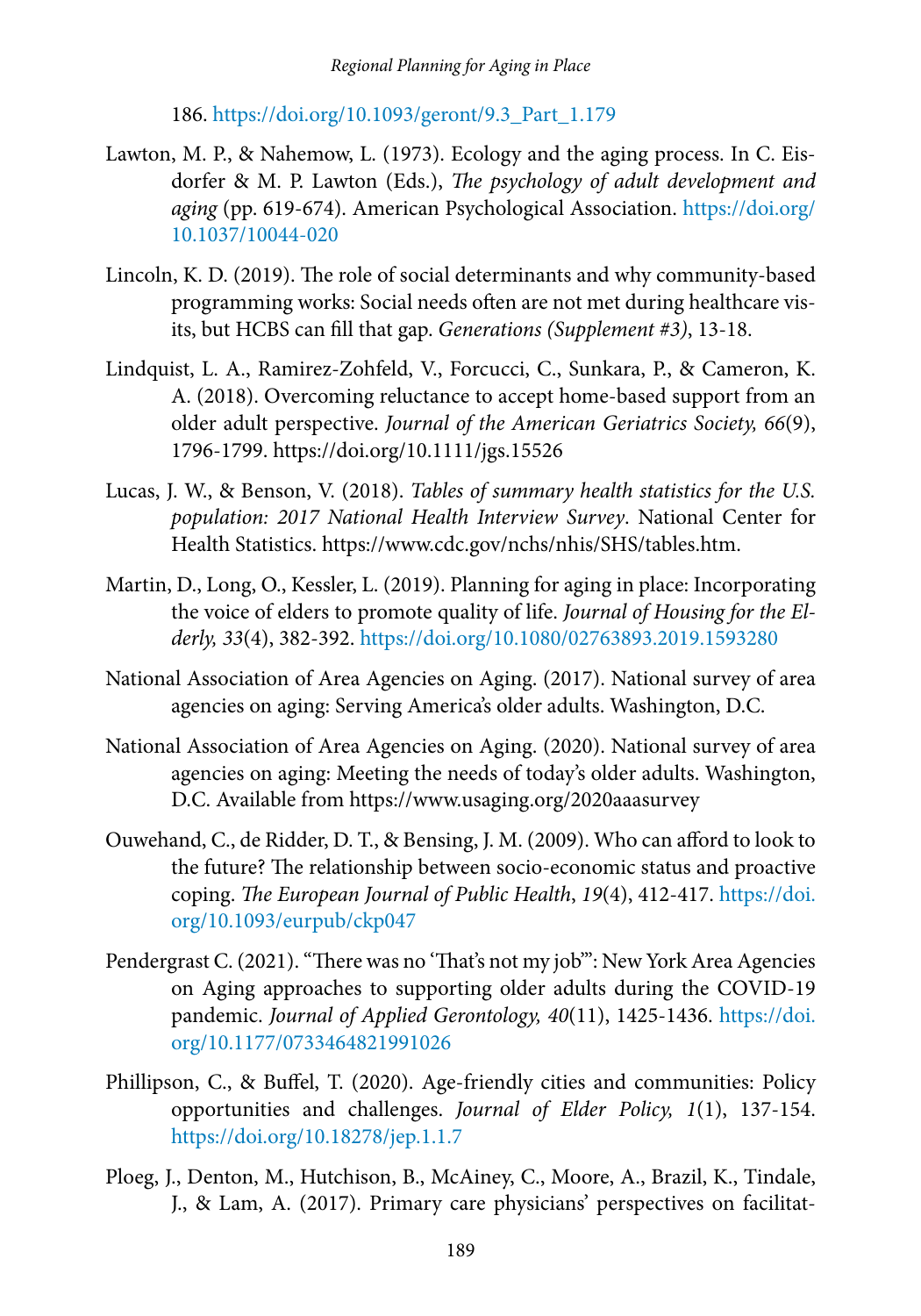186. [https://doi.org/10.1093/geront/9.3\\_Part\\_1.179](https://doi.org/10.1093/geront/9.3_Part_1.179)

- Lawton, M. P., & Nahemow, L. (1973). Ecology and the aging process. In C. Eisdorfer & M. P. Lawton (Eds.), *The psychology of adult development and aging* (pp. 619-674). American Psychological Association. [https://doi.org/](https://doi.org/10.1037/10044-020) [10.1037/10044-020](https://doi.org/10.1037/10044-020)
- Lincoln, K. D. (2019). The role of social determinants and why community-based programming works: Social needs often are not met during healthcare visits, but HCBS can fill that gap. *Generations (Supplement #3)*, 13-18.
- Lindquist, L. A., Ramirez‐Zohfeld, V., Forcucci, C., Sunkara, P., & Cameron, K. A. (2018). Overcoming reluctance to accept home‐based support from an older adult perspective. *Journal of the American Geriatrics Society, 66*(9), 1796-1799. https://doi.org/10.1111/jgs.15526
- Lucas, J. W., & Benson, V. (2018). *Tables of summary health statistics for the U.S. population: 2017 National Health Interview Survey*. National Center for Health Statistics. https://www.cdc.gov/nchs/nhis/SHS/tables.htm.
- Martin, D., Long, O., Kessler, L. (2019). Planning for aging in place: Incorporating the voice of elders to promote quality of life. *Journal of Housing for the Elderly, 33*(4), 382-392. <https://doi.org/10.1080/02763893.2019.1593280>
- National Association of Area Agencies on Aging. (2017). National survey of area agencies on aging: Serving America's older adults. Washington, D.C.
- National Association of Area Agencies on Aging. (2020). National survey of area agencies on aging: Meeting the needs of today's older adults. Washington, D.C. Available from https://www.usaging.org/2020aaasurvey
- Ouwehand, C., de Ridder, D. T., & Bensing, J. M. (2009). Who can afford to look to the future? The relationship between socio-economic status and proactive coping. *The European Journal of Public Health*, *19*(4), 412-417. [https://doi.](https://doi.org/10.1093/eurpub/ckp047) [org/10.1093/eurpub/ckp047](https://doi.org/10.1093/eurpub/ckp047)
- Pendergrast C. (2021). "There was no 'That's not my job'": New York Area Agencies on Aging approaches to supporting older adults during the COVID-19 pandemic. *Journal of Applied Gerontology, 40*(11), 1425-1436. [https://doi.](https://doi.org/10.1177/073346 4821991026  ) [org/10.1177/0733464821991026](https://doi.org/10.1177/073346 4821991026  )
- Phillipson, C., & Buffel, T. (2020). Age-friendly cities and communities: Policy opportunities and challenges. *Journal of Elder Policy, 1*(1), 137-154. <https://doi.org/10.18278/jep.1.1.7>
- Ploeg, J., Denton, M., Hutchison, B., McAiney, C., Moore, A., Brazil, K., Tindale, J., & Lam, A. (2017). Primary care physicians' perspectives on facilitat-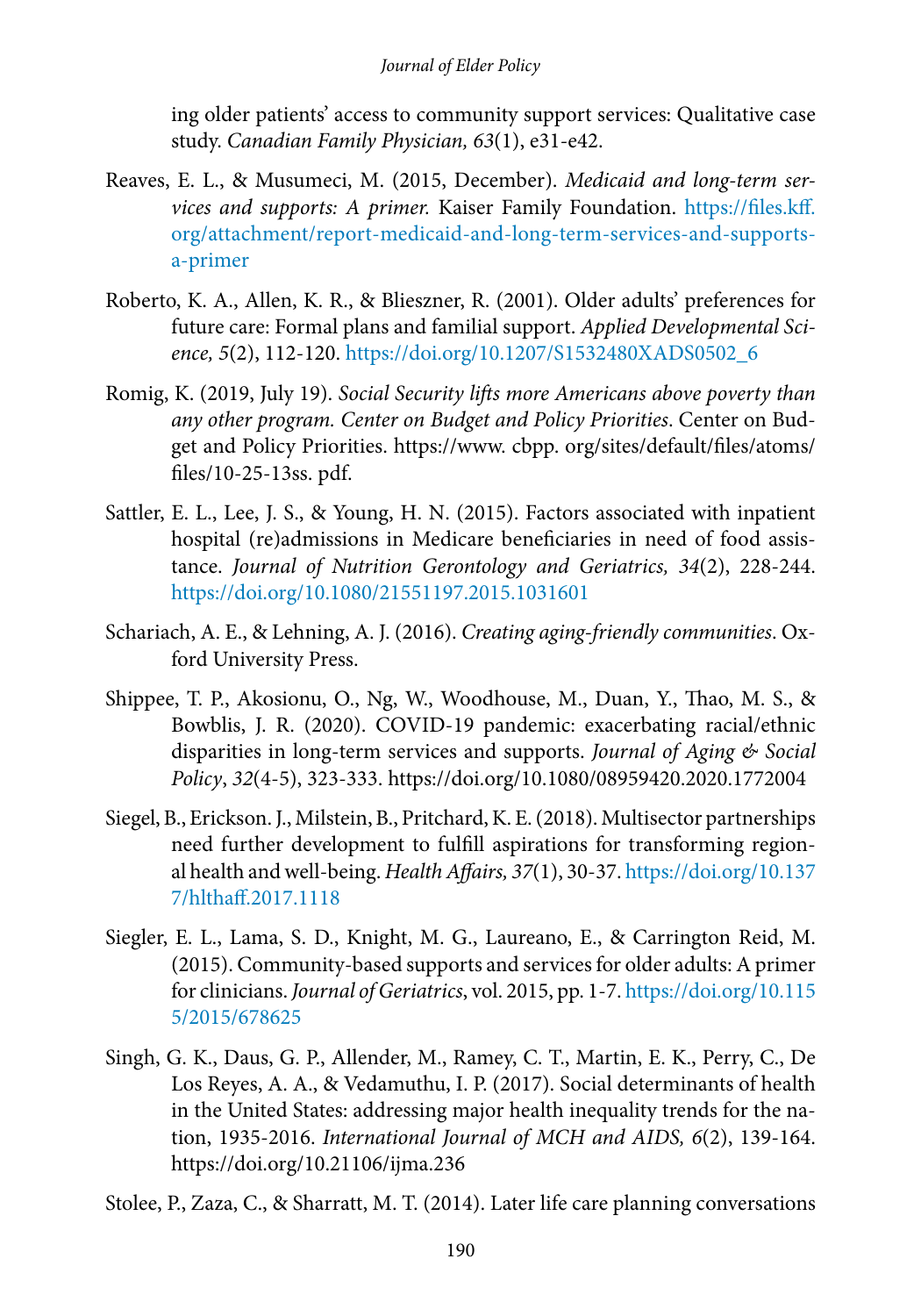ing older patients' access to community support services: Qualitative case study. *Canadian Family Physician, 63*(1), e31-e42.

- Reaves, E. L., & Musumeci, M. (2015, December). *Medicaid and long-term services and supports: A primer.* Kaiser Family Foundation. [https://files.kff.](https://files.kff.org/attachment/report-medicaid-and-long-term-services-and-supports-a-primer) [org/attachment/report-medicaid-and-long-term-services-and-supports](https://files.kff.org/attachment/report-medicaid-and-long-term-services-and-supports-a-primer)[a-primer](https://files.kff.org/attachment/report-medicaid-and-long-term-services-and-supports-a-primer)
- Roberto, K. A., Allen, K. R., & Blieszner, R. (2001). Older adults' preferences for future care: Formal plans and familial support. *Applied Developmental Science, 5*(2), 112-120. [https://doi.org/10.1207/S1532480XADS0502\\_6](https://doi.org/10.1207/S1532480XADS0502_6)
- Romig, K. (2019, July 19). *Social Security lifts more Americans above poverty than any other program. Center on Budget and Policy Priorities*. Center on Budget and Policy Priorities. https://www. cbpp. org/sites/default/files/atoms/ files/10-25-13ss. pdf.
- Sattler, E. L., Lee, J. S., & Young, H. N. (2015). Factors associated with inpatient hospital (re)admissions in Medicare beneficiaries in need of food assistance. *Journal of Nutrition Gerontology and Geriatrics, 34*(2), 228-244. <https://doi.org/>[10.1080/21551197.2015.1031601](https://doi.org/10.1080/21551197.2015.1031601)
- Schariach, A. E., & Lehning, A. J. (2016). *Creating aging-friendly communities*. Oxford University Press.
- Shippee, T. P., Akosionu, O., Ng, W., Woodhouse, M., Duan, Y., Thao, M. S., & Bowblis, J. R. (2020). COVID-19 pandemic: exacerbating racial/ethnic disparities in long-term services and supports. *Journal of Aging & Social Policy*, *32*(4-5), 323-333. https://doi.org/10.1080/08959420.2020.1772004
- Siegel, B., Erickson. J., Milstein, B., Pritchard, K. E. (2018). Multisector partnerships need further development to fulfill aspirations for transforming regional health and well-being. *Health Affairs, 37*(1), 30-37. [https://doi.org/10.137](https://doi.org/10.1377/hlthaff.2017.1118) [7/hlthaff.2017.1118](https://doi.org/10.1377/hlthaff.2017.1118)
- Siegler, E. L., Lama, S. D., Knight, M. G., Laureano, E., & Carrington Reid, M. (2015). Community-based supports and services for older adults: A primer for clinicians. *Journal of Geriatrics*, vol. 2015, pp. 1-7. [https://doi.org/10.115](https://doi.org/10.1155/2015/678625) [5/2015/678625](https://doi.org/10.1155/2015/678625)
- Singh, G. K., Daus, G. P., Allender, M., Ramey, C. T., Martin, E. K., Perry, C., De Los Reyes, A. A., & Vedamuthu, I. P. (2017). Social determinants of health in the United States: addressing major health inequality trends for the nation, 1935-2016. *International Journal of MCH and AIDS, 6*(2), 139-164. https://doi.org/10.21106/ijma.236

Stolee, P., Zaza, C., & Sharratt, M. T. (2014). Later life care planning conversations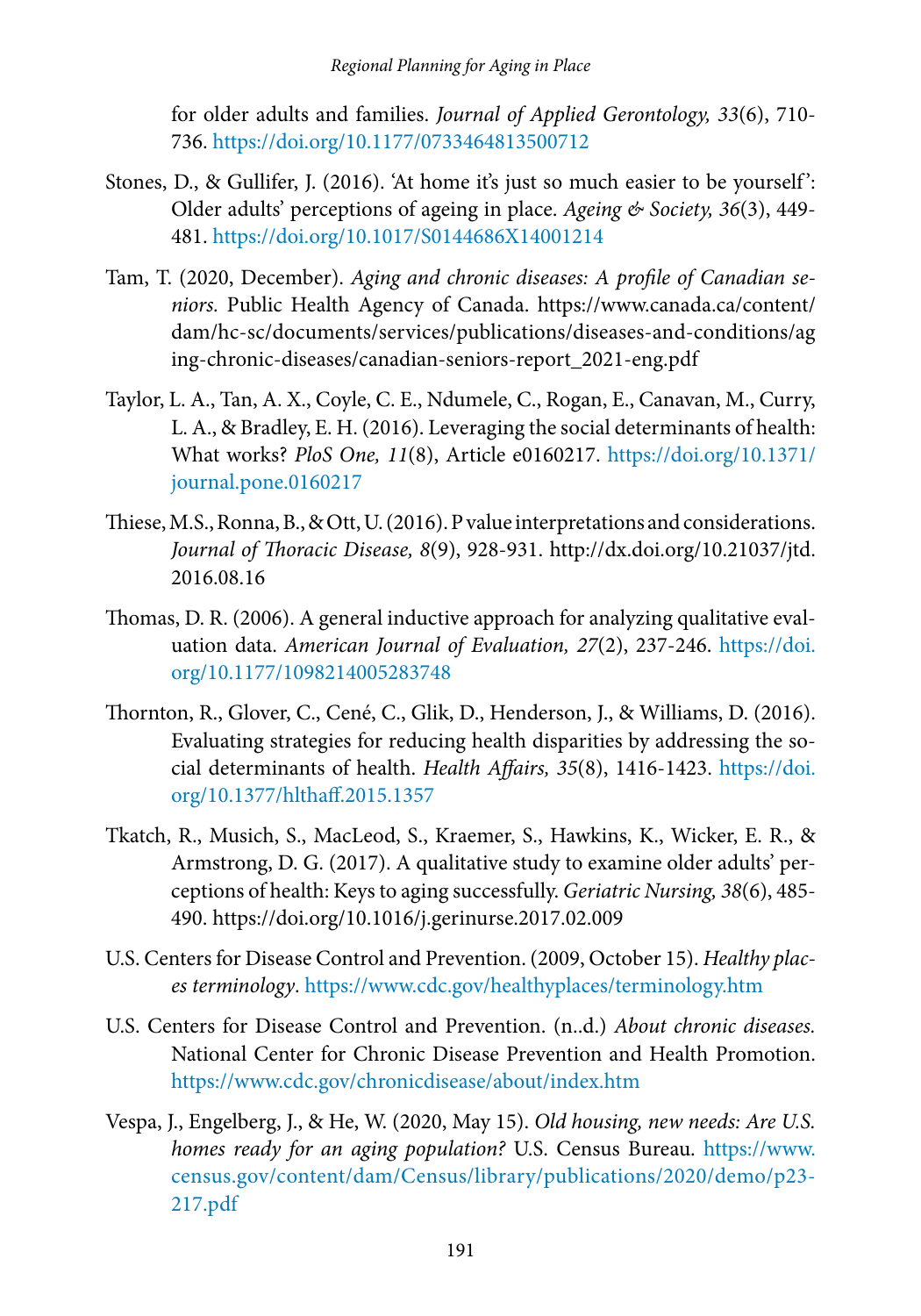for older adults and families. *Journal of Applied Gerontology, 33*(6), 710- 736.<https://doi.org/10.1177/0733464813500712>

- Stones, D., & Gullifer, J. (2016). 'At home it's just so much easier to be yourself ': Older adults' perceptions of ageing in place. *Ageing & Society, 36*(3), 449- 481.<https://doi.org/10.1017/S0144686X14001214>
- Tam, T. (2020, December). *Aging and chronic diseases: A profile of Canadian seniors.* Public Health Agency of Canada. https://www.canada.ca/content/ dam/hc-sc/documents/services/publications/diseases-and-conditions/ag ing-chronic-diseases/canadian-seniors-report\_2021-eng.pdf
- Taylor, L. A., Tan, A. X., Coyle, C. E., Ndumele, C., Rogan, E., Canavan, M., Curry, L. A., & Bradley, E. H. (2016). Leveraging the social determinants of health: What works? *PloS One, 11*(8), Article e0160217. [https://doi.org/10.1371/](https://doi.org/10.1371/journal.pone.0160217) [journal.pone.0160217](https://doi.org/10.1371/journal.pone.0160217)
- Thiese, M.S., Ronna, B., & Ott, U. (2016). P value interpretations and considerations. *Journal of Thoracic Disease, 8*(9), 928-931. http://dx.doi.org/10.21037/jtd. 2016.08.16
- Thomas, D. R. (2006). A general inductive approach for analyzing qualitative evaluation data. *American Journal of Evaluation, 27*(2), 237-246. [https://doi.](https://doi.org/10.1177/1098214005283748) [org/10.1177/1098214005283748](https://doi.org/10.1177/1098214005283748)
- Thornton, R., Glover, C., Cené, C., Glik, D., Henderson, J., & Williams, D. (2016). Evaluating strategies for reducing health disparities by addressing the social determinants of health. *Health Affairs, 35*(8), 1416-1423. [https://doi.](https://doi.org/10.1377/hlthaff.2015.1357) [org/10.1377/hlthaff.2015.1357](https://doi.org/10.1377/hlthaff.2015.1357)
- Tkatch, R., Musich, S., MacLeod, S., Kraemer, S., Hawkins, K., Wicker, E. R., & Armstrong, D. G. (2017). A qualitative study to examine older adults' perceptions of health: Keys to aging successfully. *Geriatric Nursing, 38*(6), 485- 490. https://doi.org/10.1016/j.gerinurse.2017.02.009
- U.S. Centers for Disease Control and Prevention. (2009, October 15). *Healthy places terminology*. <https://www.cdc.gov/healthyplaces/terminology.htm>
- [U.S.](file:///C:\Users\cory\Desktop\U.S) Centers for Disease Control and Prevention. (n..d.) *About chronic diseases.* National Center for Chronic Disease Prevention and Health Promotion. <https://www.cdc.gov/chronicdisease/about/index.htm>
- Vespa, J., Engelberg, J., & He, W. (2020, May 15). *Old housing, new needs: Are U.S. homes ready for an aging population?* U.S. Census Bureau. [https://www.](https://www.census.gov/content/dam/Census/library/publications/2020/demo/p23-217.pdf) [census.gov/content/dam/Census/library/publications/2020/demo/p23-](https://www.census.gov/content/dam/Census/library/publications/2020/demo/p23-217.pdf) [217.pdf](https://www.census.gov/content/dam/Census/library/publications/2020/demo/p23-217.pdf)